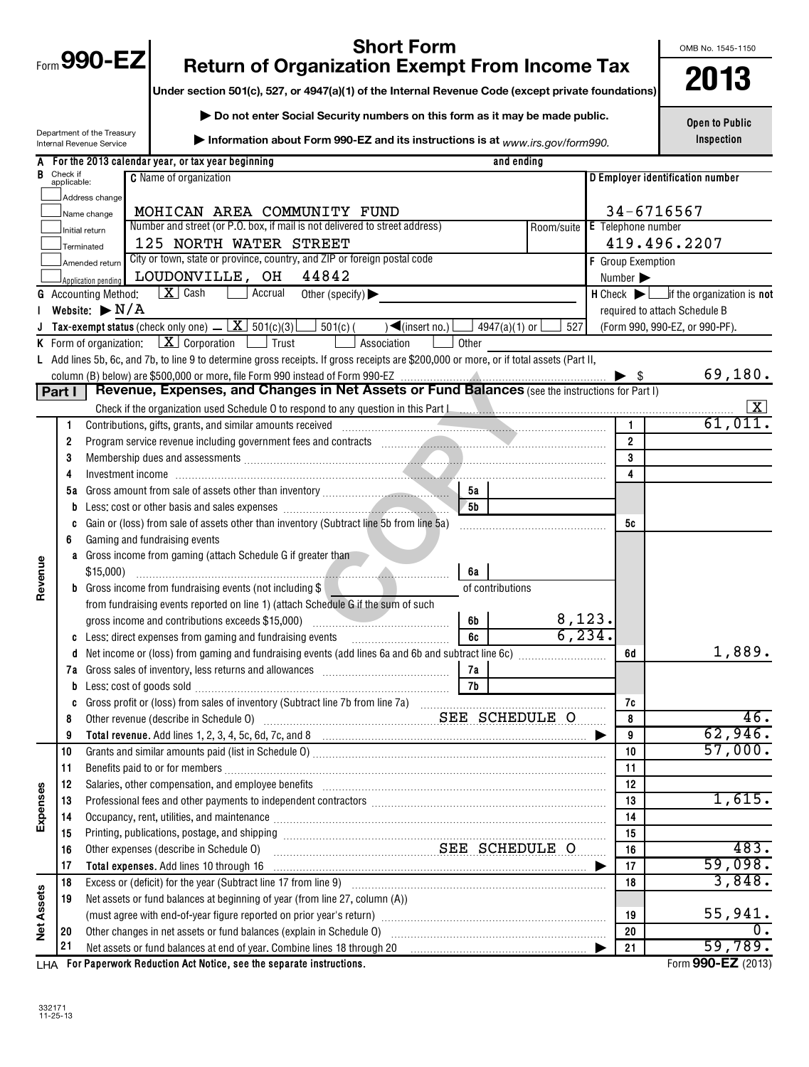| <b>Short Form</b><br>$F_{\text{form}}$ 990-EZ |                         |                                                        |                                                                                                                                                                                                                                |                      |                           | OMB No. 1545-1150                |
|-----------------------------------------------|-------------------------|--------------------------------------------------------|--------------------------------------------------------------------------------------------------------------------------------------------------------------------------------------------------------------------------------|----------------------|---------------------------|----------------------------------|
|                                               |                         |                                                        | <b>Return of Organization Exempt From Income Tax</b>                                                                                                                                                                           |                      |                           | 2013                             |
|                                               |                         |                                                        | Under section 501(c), 527, or 4947(a)(1) of the Internal Revenue Code (except private foundations)                                                                                                                             |                      |                           |                                  |
|                                               |                         |                                                        | Do not enter Social Security numbers on this form as it may be made public.                                                                                                                                                    |                      |                           | <b>Open to Public</b>            |
|                                               |                         | Department of the Treasury<br>Internal Revenue Service | Information about Form 990-EZ and its instructions is at www.irs.gov/form990.                                                                                                                                                  |                      |                           | Inspection                       |
|                                               |                         |                                                        | A For the 2013 calendar year, or tax year beginning                                                                                                                                                                            | and ending           |                           |                                  |
| В                                             | Check if<br>applicable: |                                                        | <b>C</b> Name of organization                                                                                                                                                                                                  |                      |                           | D Employer identification number |
|                                               |                         | Address change                                         |                                                                                                                                                                                                                                |                      |                           |                                  |
|                                               |                         | Name change                                            | MOHICAN AREA COMMUNITY FUND                                                                                                                                                                                                    |                      |                           | 34-6716567                       |
|                                               |                         | Initial return                                         | Number and street (or P.O. box, if mail is not delivered to street address)                                                                                                                                                    | Room/suite           | <b>E</b> Telephone number |                                  |
|                                               |                         | Terminated                                             | 125 NORTH WATER STREET<br>City or town, state or province, country, and ZIP or foreign postal code                                                                                                                             |                      |                           | 419.496.2207                     |
|                                               |                         | Amended return                                         | 44842<br>LOUDONVILLE, OH                                                                                                                                                                                                       |                      | <b>F</b> Group Exemption  |                                  |
|                                               |                         | Application pending<br><b>G</b> Accounting Method:     | $\mid X \mid$ Cash<br>Accrual<br>Other (specify) $\blacktriangleright$                                                                                                                                                         |                      | Number                    |                                  |
|                                               |                         | Website: $\triangleright$ N/A                          |                                                                                                                                                                                                                                |                      |                           | required to attach Schedule B    |
|                                               |                         |                                                        | <b>J</b> Tax-exempt status (check only one) $\Box$ $\Box$ 501(c)(3)<br>$501(c)$ (<br>$\blacktriangleleft$ (insert no.)                                                                                                         | 4947(a)(1) or<br>527 |                           | (Form 990, 990-EZ, or 990-PF).   |
|                                               |                         |                                                        | <b>K</b> Form of organization: $X \cdot \text{Corporation}$ $\Box$ Trust<br>Association<br>Other                                                                                                                               |                      |                           |                                  |
|                                               |                         |                                                        | L Add lines 5b, 6c, and 7b, to line 9 to determine gross receipts. If gross receipts are \$200,000 or more, or if total assets (Part II,                                                                                       |                      |                           |                                  |
|                                               |                         |                                                        |                                                                                                                                                                                                                                |                      |                           | 69,180.                          |
|                                               | Part I                  |                                                        | Revenue, Expenses, and Changes in Net Assets or Fund Balances (see the instructions for Part I)                                                                                                                                |                      |                           |                                  |
|                                               |                         |                                                        |                                                                                                                                                                                                                                |                      |                           | $\lfloor x \rfloor$              |
|                                               |                         |                                                        |                                                                                                                                                                                                                                |                      | $\mathbf{1}$              | 61,011                           |
|                                               | 2                       |                                                        | Program service revenue including government fees and contracts [11] manuscription control of the service revenue including government fees and contracts [11] manuscription of the service of the service of the service of t |                      | $\overline{2}$            |                                  |
|                                               | 3                       |                                                        |                                                                                                                                                                                                                                |                      | 3                         |                                  |
|                                               | 4                       |                                                        |                                                                                                                                                                                                                                |                      | $\overline{4}$            |                                  |
|                                               | 5а                      |                                                        | 5а                                                                                                                                                                                                                             |                      |                           |                                  |
|                                               | b                       |                                                        | 5b                                                                                                                                                                                                                             |                      |                           |                                  |
|                                               | c<br>6                  |                                                        | Gain or (loss) from sale of assets other than inventory (Subtract line 5b from line 5a)<br>Gaming and fundraising events                                                                                                       |                      | 5с                        |                                  |
|                                               |                         |                                                        | <b>a</b> Gross income from gaming (attach Schedule G if greater than                                                                                                                                                           |                      |                           |                                  |
|                                               |                         | \$15,000                                               | 6а                                                                                                                                                                                                                             |                      |                           |                                  |
| Revenue                                       |                         |                                                        | <b>b</b> Gross income from fundraising events (not including \$                                                                                                                                                                | of contributions     |                           |                                  |
|                                               |                         |                                                        | from fundraising events reported on line 1) (attach Schedule G if the sum of such                                                                                                                                              |                      |                           |                                  |
|                                               |                         |                                                        | gross income and contributions exceeds \$15,000)<br>6b                                                                                                                                                                         | 8,123.               |                           |                                  |
|                                               |                         |                                                        | 6c<br>c Less: direct expenses from gaming and fundraising events                                                                                                                                                               | 6, 234               |                           |                                  |
|                                               |                         |                                                        |                                                                                                                                                                                                                                |                      | 6d                        | 1,889.                           |
|                                               | 7a                      |                                                        | 7a                                                                                                                                                                                                                             |                      |                           |                                  |
|                                               | b                       |                                                        | 7b                                                                                                                                                                                                                             |                      |                           |                                  |
|                                               | C                       |                                                        |                                                                                                                                                                                                                                |                      | 7c                        |                                  |
|                                               | 8                       |                                                        | Other revenue (describe in Schedule 0) Mathematic methods and SEE SCHEDULE O                                                                                                                                                   |                      | 8                         | 46.                              |
|                                               | 9                       |                                                        |                                                                                                                                                                                                                                |                      | 9                         | 62,946.<br>57,000.               |
|                                               | 10<br>11                |                                                        |                                                                                                                                                                                                                                |                      | 10<br>11                  |                                  |
|                                               | 12                      |                                                        | Salaries, other compensation, and employee benefits [11] manufactures in the community of the compensation, and employee benefits [11] manufactures in the community of the community of the community of the community of the |                      | 12                        |                                  |
|                                               | 13                      |                                                        | Professional fees and other payments to independent contractors [111] [11] professional fees and other payments to independent contractors [11] professional fees and other payments to independent contractors [11] professio |                      | 13                        | 1,615.                           |
| Expenses                                      | 14                      |                                                        | Occupancy, rent, utilities, and maintenance manufactured and according term of the manufacture of the manufacture                                                                                                              |                      | 14                        |                                  |
|                                               | 15                      |                                                        |                                                                                                                                                                                                                                |                      | 15                        |                                  |
|                                               | 16                      |                                                        | SEE SCHEDULE O<br>Other expenses (describe in Schedule O)                                                                                                                                                                      |                      | 16                        | 483.                             |
|                                               | 17                      |                                                        |                                                                                                                                                                                                                                |                      | 17                        | 59,098.                          |
|                                               | 18                      |                                                        |                                                                                                                                                                                                                                |                      | 18                        | 3,848.                           |
|                                               | 19                      |                                                        | Net assets or fund balances at beginning of year (from line 27, column (A))                                                                                                                                                    |                      |                           |                                  |
| <b>Net Assets</b>                             |                         |                                                        | (must agree with end-of-year figure reported on prior year's return) manufactured content agree with end-of-year figure reported on prior year's return)                                                                       |                      | 19                        | 55,941.                          |
|                                               | 20                      |                                                        | Other changes in net assets or fund balances (explain in Schedule O) [11] [2000] [2000] [2000] [2000] [2000] [                                                                                                                 |                      | 20                        |                                  |
|                                               | 21                      |                                                        | Net assets or fund balances at end of year. Combine lines 18 through 20 [11] manuscription for the assets or fund balances at end of year. Combine lines 18 through 20 [11] manuscription of the assets of the assets of the a |                      | 21                        | 59,789.                          |
|                                               |                         |                                                        | LHA For Paperwork Reduction Act Notice, see the separate instructions.                                                                                                                                                         |                      |                           | Form 990-EZ (2013)               |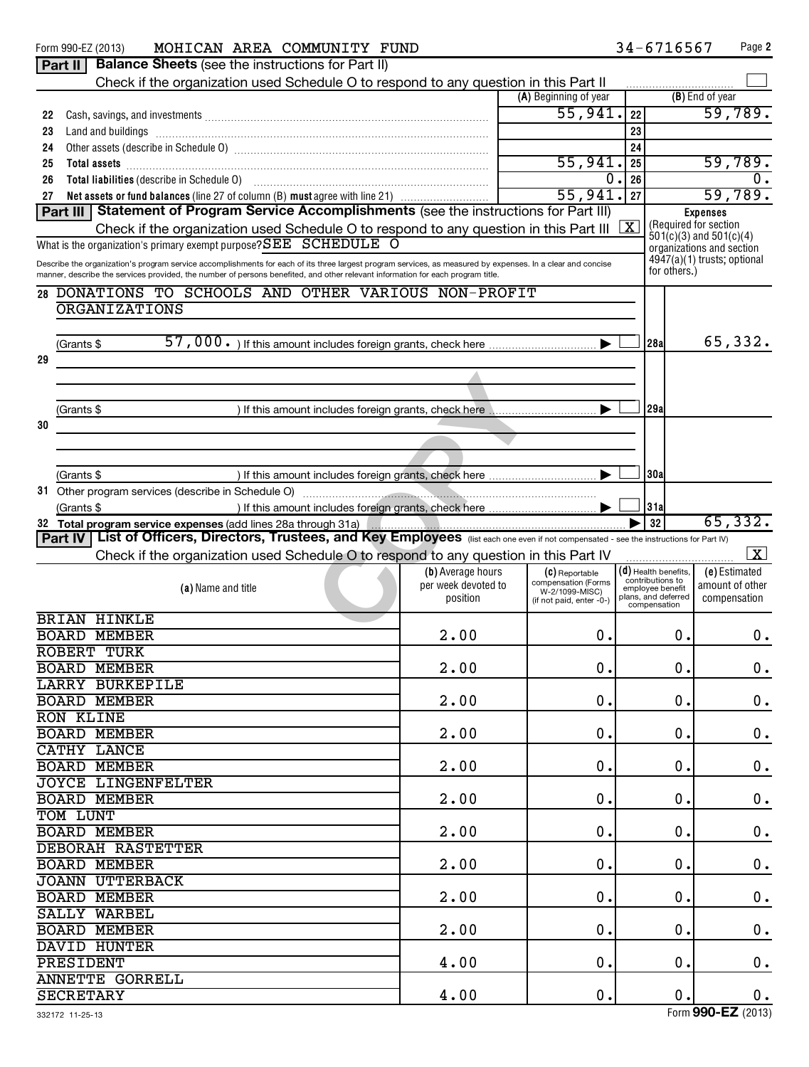|    | MOHICAN AREA COMMUNITY FUND<br>Form 990-EZ (2013)                                                                                                                                                                                     |                     |                                       | 34-6716567                           | Page 2                                               |
|----|---------------------------------------------------------------------------------------------------------------------------------------------------------------------------------------------------------------------------------------|---------------------|---------------------------------------|--------------------------------------|------------------------------------------------------|
|    | <b>Balance Sheets (see the instructions for Part II)</b><br>Part II                                                                                                                                                                   |                     |                                       |                                      |                                                      |
|    | Check if the organization used Schedule O to respond to any question in this Part II                                                                                                                                                  |                     |                                       |                                      |                                                      |
|    |                                                                                                                                                                                                                                       |                     | (A) Beginning of year                 |                                      | (B) End of year                                      |
| 22 | Cash, savings, and investments [11, 12] and the contract of the cash of the cash of the cash of the cash of the cash of the cash of the cash of the cash of the cash of the cash of the cash of the cash of the cash of the ca        |                     | 55,941.                               | 22                                   | 59,789.                                              |
| 23 |                                                                                                                                                                                                                                       |                     |                                       | 23                                   |                                                      |
| 24 |                                                                                                                                                                                                                                       |                     |                                       | 24                                   |                                                      |
| 25 | Total assets <b>communications</b> and assets <b>and assets communications contract to the contract of the contract of the contract of the contract of the contract of the contract of the contract of the contract of the contra</b> |                     | 55,941.                               | 25                                   | 59,789.                                              |
| 26 | Total liabilities (describe in Schedule 0) [11] [12] matter contracts and a set of the schedule of the state s                                                                                                                        |                     | 0                                     | 26                                   | 0.                                                   |
| 27 | Net assets or fund balances (line 27 of column (B) must agree with line 21)                                                                                                                                                           |                     | 55,941.                               | 27                                   | 59,789.                                              |
|    | Statement of Program Service Accomplishments (see the instructions for Part III)<br>Part III                                                                                                                                          |                     |                                       |                                      | <b>Expenses</b>                                      |
|    | Check if the organization used Schedule O to respond to any question in this Part III                                                                                                                                                 |                     |                                       | X                                    | (Required for section<br>$501(c)(3)$ and $501(c)(4)$ |
|    | What is the organization's primary exempt purpose? SEE SCHEDULE O                                                                                                                                                                     |                     |                                       |                                      | organizations and section                            |
|    | Describe the organization's program service accomplishments for each of its three largest program services, as measured by expenses. In a clear and concise                                                                           |                     |                                       | for others.)                         | 4947(a)(1) trusts; optional                          |
|    | manner, describe the services provided, the number of persons benefited, and other relevant information for each program title.                                                                                                       |                     |                                       |                                      |                                                      |
|    | 28 DONATIONS TO SCHOOLS AND OTHER VARIOUS NON-PROFIT                                                                                                                                                                                  |                     |                                       |                                      |                                                      |
|    | <b>ORGANIZATIONS</b>                                                                                                                                                                                                                  |                     |                                       |                                      |                                                      |
|    |                                                                                                                                                                                                                                       |                     |                                       |                                      |                                                      |
|    | (Grants \$                                                                                                                                                                                                                            |                     |                                       | 28al                                 | 65,332.                                              |
| 29 |                                                                                                                                                                                                                                       |                     |                                       |                                      |                                                      |
|    |                                                                                                                                                                                                                                       |                     |                                       |                                      |                                                      |
|    |                                                                                                                                                                                                                                       |                     |                                       |                                      |                                                      |
|    | (Grants \$                                                                                                                                                                                                                            |                     |                                       | 29al                                 |                                                      |
| 30 |                                                                                                                                                                                                                                       |                     |                                       |                                      |                                                      |
|    |                                                                                                                                                                                                                                       |                     |                                       |                                      |                                                      |
|    |                                                                                                                                                                                                                                       |                     |                                       |                                      |                                                      |
|    | (Grants \$                                                                                                                                                                                                                            |                     |                                       | 30a                                  |                                                      |
|    |                                                                                                                                                                                                                                       |                     |                                       | 31a                                  |                                                      |
|    | (Grants \$                                                                                                                                                                                                                            |                     |                                       | 32                                   | 65,332.                                              |
|    | 32 Total program service expenses (add lines 28a through 31a)<br>List of Officers, Directors, Trustees, and Key Employees (list each one even if not compensated - see the instructions for Part IV)<br>Part IV                       |                     |                                       |                                      |                                                      |
|    | Check if the organization used Schedule O to respond to any question in this Part IV                                                                                                                                                  |                     |                                       |                                      | $\overline{\mathbf{x}}$                              |
|    |                                                                                                                                                                                                                                       | (b) Average hours   | (C) Reportable                        | $(d)$ Health benefits.               | (e) Estimated                                        |
|    | (a) Name and title                                                                                                                                                                                                                    | per week devoted to | compensation (Forms<br>W-2/1099-MISC) | contributions to<br>employee benefit | amount of other                                      |
|    |                                                                                                                                                                                                                                       | position            | (if not paid, enter -0-)              | plans, and deferred<br>compensation  | compensation                                         |
|    | <b>BRIAN HINKLE</b>                                                                                                                                                                                                                   |                     |                                       |                                      |                                                      |
|    | <b>BOARD MEMBER</b>                                                                                                                                                                                                                   | 2.00                | 0.                                    |                                      | 0.<br>0.                                             |
|    | <b>ROBERT TURK</b>                                                                                                                                                                                                                    |                     |                                       |                                      |                                                      |
|    | <b>BOARD MEMBER</b>                                                                                                                                                                                                                   | 2.00                | 0.                                    |                                      | 0.<br>0.                                             |
|    | LARRY BURKEPILE                                                                                                                                                                                                                       |                     |                                       |                                      |                                                      |
|    | <b>BOARD MEMBER</b>                                                                                                                                                                                                                   | 2.00                | 0.                                    |                                      | $\mathbf 0$ .<br>0.                                  |
|    | <b>RON KLINE</b>                                                                                                                                                                                                                      |                     |                                       |                                      |                                                      |
|    | <b>BOARD MEMBER</b>                                                                                                                                                                                                                   | 2.00                | 0.                                    |                                      | $\boldsymbol{0}$ .<br>0.                             |
|    | CATHY LANCE                                                                                                                                                                                                                           |                     |                                       |                                      |                                                      |
|    | <b>BOARD MEMBER</b>                                                                                                                                                                                                                   | 2.00                | 0.                                    |                                      | $\boldsymbol{0}$ .<br>0.                             |
|    |                                                                                                                                                                                                                                       |                     |                                       |                                      |                                                      |
|    | JOYCE LINGENFELTER                                                                                                                                                                                                                    |                     |                                       |                                      |                                                      |
|    | <b>BOARD MEMBER</b>                                                                                                                                                                                                                   | 2.00                | 0.                                    |                                      | $\boldsymbol{0}$ .<br>0.                             |
|    | TOM LUNT                                                                                                                                                                                                                              |                     |                                       |                                      |                                                      |
|    | <b>BOARD MEMBER</b>                                                                                                                                                                                                                   | 2.00                | 0.                                    |                                      | $\boldsymbol{0}$ .<br>0.                             |
|    | DEBORAH RASTETTER                                                                                                                                                                                                                     |                     |                                       |                                      |                                                      |
|    | <b>BOARD MEMBER</b>                                                                                                                                                                                                                   | 2.00                | 0.                                    |                                      | $\boldsymbol{0}$ .<br>0.                             |
|    | <b>JOANN UTTERBACK</b>                                                                                                                                                                                                                |                     |                                       |                                      |                                                      |
|    | <b>BOARD MEMBER</b>                                                                                                                                                                                                                   | 2.00                | 0.                                    |                                      | $\boldsymbol{0}$ .<br>0.                             |
|    | SALLY WARBEL                                                                                                                                                                                                                          |                     |                                       |                                      |                                                      |
|    | <b>BOARD MEMBER</b>                                                                                                                                                                                                                   | 2.00                | 0.                                    |                                      | $\boldsymbol{0}$ .<br>0.                             |
|    | <b>DAVID HUNTER</b>                                                                                                                                                                                                                   |                     |                                       |                                      |                                                      |
|    | PRESIDENT                                                                                                                                                                                                                             | 4.00                | 0.                                    |                                      | $\boldsymbol{0}$ .<br>0.                             |
|    | <b>ANNETTE GORRELL</b><br><b>SECRETARY</b>                                                                                                                                                                                            | 4.00                | $\mathbf 0$ .                         |                                      | $\mathbf 0$ .<br>0.                                  |

Form (2013) **990-EZ**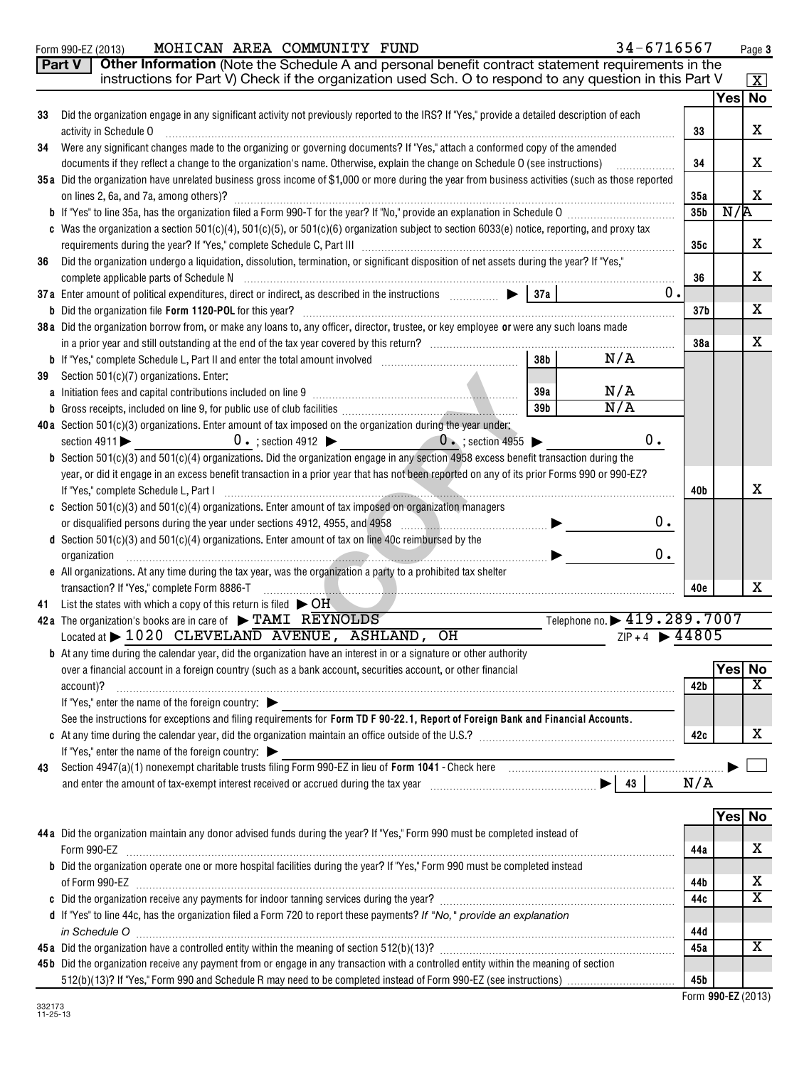Form 990-EZ (2013) **MOHICAN AREA COMMUNITY FUND** 34-67I6567 Page MOHICAN AREA COMMUNITY FUND 34-6716567

**3**

|    | Part V<br>Other Information (Note the Schedule A and personal benefit contract statement requirements in the<br>instructions for Part V) Check if the organization used Sch. O to respond to any question in this Part V |                 |                     | $\vert$ X $\vert$       |
|----|--------------------------------------------------------------------------------------------------------------------------------------------------------------------------------------------------------------------------|-----------------|---------------------|-------------------------|
|    |                                                                                                                                                                                                                          |                 | $\overline{Yes}$ No |                         |
| 33 | Did the organization engage in any significant activity not previously reported to the IRS? If "Yes," provide a detailed description of each                                                                             |                 |                     |                         |
|    | activity in Schedule O                                                                                                                                                                                                   | 33              |                     | X                       |
| 34 | Were any significant changes made to the organizing or governing documents? If "Yes," attach a conformed copy of the amended                                                                                             |                 |                     |                         |
|    | documents if they reflect a change to the organization's name. Otherwise, explain the change on Schedule O (see instructions)<br>.                                                                                       | 34              |                     | x                       |
|    | 35 a Did the organization have unrelated business gross income of \$1,000 or more during the year from business activities (such as those reported                                                                       |                 |                     |                         |
|    | on lines 2, 6a, and 7a, among others)?                                                                                                                                                                                   | 35a             |                     | x                       |
|    |                                                                                                                                                                                                                          | 35 <sub>b</sub> | N/R                 |                         |
|    | c Was the organization a section $501(c)(4)$ , $501(c)(5)$ , or $501(c)(6)$ organization subject to section $6033(e)$ notice, reporting, and proxy tax                                                                   |                 |                     | x                       |
|    | Did the organization undergo a liquidation, dissolution, termination, or significant disposition of net assets during the year? If "Yes,"                                                                                | 35c             |                     |                         |
| 36 |                                                                                                                                                                                                                          | 36              |                     | x                       |
|    | 0.                                                                                                                                                                                                                       |                 |                     |                         |
|    | <b>b</b> Did the organization file Form 1120-POL for this year?                                                                                                                                                          | 37 <sub>b</sub> |                     | x                       |
|    | 38a Did the organization borrow from, or make any loans to, any officer, director, trustee, or key employee or were any such loans made                                                                                  |                 |                     |                         |
|    |                                                                                                                                                                                                                          | 38a             |                     | х                       |
|    | N/A<br>38 <sub>b</sub>                                                                                                                                                                                                   |                 |                     |                         |
| 39 | Section 501(c)(7) organizations. Enter:                                                                                                                                                                                  |                 |                     |                         |
|    | N/A<br>a Initiation fees and capital contributions included on line 9 [11] [11] matter contracts and capital contributions included on line 9<br>39a                                                                     |                 |                     |                         |
|    | N/A<br>39 <sub>b</sub>                                                                                                                                                                                                   |                 |                     |                         |
|    | 40a Section 501(c)(3) organizations. Enter amount of tax imposed on the organization during the year under:                                                                                                              |                 |                     |                         |
|    | 0.<br>$0 \cdot$ ; section 4912 $\triangleright$ 0.; section 4955 $\triangleright$<br>section 4911                                                                                                                        |                 |                     |                         |
|    | <b>b</b> Section 501(c)(3) and 501(c)(4) organizations. Did the organization engage in any section 4958 excess benefit transaction during the                                                                            |                 |                     |                         |
|    | year, or did it engage in an excess benefit transaction in a prior year that has not been reported on any of its prior Forms 990 or 990-EZ?                                                                              |                 |                     |                         |
|    | If "Yes," complete Schedule L, Part I                                                                                                                                                                                    | 40b             |                     | x                       |
|    | c Section $501(c)(3)$ and $501(c)(4)$ organizations. Enter amount of tax imposed on organization managers                                                                                                                |                 |                     |                         |
|    | 0.<br>or disqualified persons during the year under sections 4912, 4955, and 4958<br><u> Elizabeth Maria Alexandria (h. 1878).</u>                                                                                       |                 |                     |                         |
|    | <b>d</b> Section $501(c)(3)$ and $501(c)(4)$ organizations. Enter amount of tax on line 40c reimbursed by the<br>0.                                                                                                      |                 |                     |                         |
|    | organization<br>e All organizations. At any time during the tax year, was the organization a party to a prohibited tax shelter                                                                                           |                 |                     |                         |
|    | transaction? If "Yes," complete Form 8886-T                                                                                                                                                                              | 40e             |                     | x                       |
| 41 | List the states with which a copy of this return is filed $\triangleright$ OH                                                                                                                                            |                 |                     |                         |
|    | Telephone no. > 419.289.7007<br>42a The organization's books are in care of $\triangleright$ TAMI REYNOLDS                                                                                                               |                 |                     |                         |
|    | $ZIP + 4$ $\rightarrow$ 44805<br>Located at > 1020 CLEVELAND AVENUE, ASHLAND, OH                                                                                                                                         |                 |                     |                         |
|    | <b>b</b> At any time during the calendar year, did the organization have an interest in or a signature or other authority                                                                                                |                 |                     |                         |
|    | over a financial account in a foreign country (such as a bank account, securities account, or other financial                                                                                                            |                 | Yes No              |                         |
|    | account)?                                                                                                                                                                                                                | 42b             |                     | $\overline{\texttt{x}}$ |
|    | If "Yes," enter the name of the foreign country:                                                                                                                                                                         |                 |                     |                         |
|    | See the instructions for exceptions and filing requirements for Form TD F 90-22.1, Report of Foreign Bank and Financial Accounts.                                                                                        |                 |                     |                         |
|    |                                                                                                                                                                                                                          | 42c             |                     | х                       |
|    | If "Yes," enter the name of the foreign country: $\blacktriangleright$                                                                                                                                                   |                 |                     |                         |
| 43 |                                                                                                                                                                                                                          |                 |                     |                         |
|    |                                                                                                                                                                                                                          | N/A             |                     |                         |
|    |                                                                                                                                                                                                                          |                 |                     |                         |
|    |                                                                                                                                                                                                                          |                 | Yes No              |                         |
|    | 44a Did the organization maintain any donor advised funds during the year? If "Yes," Form 990 must be completed instead of                                                                                               |                 |                     |                         |
|    | Form 990-EZ                                                                                                                                                                                                              | 44a             |                     | х                       |
|    | b Did the organization operate one or more hospital facilities during the year? If "Yes," Form 990 must be completed instead                                                                                             |                 |                     | х                       |
|    |                                                                                                                                                                                                                          | 44b<br>44c      |                     | $\overline{\textbf{X}}$ |
|    | d If "Yes" to line 44c, has the organization filed a Form 720 to report these payments? If "No," provide an explanation                                                                                                  |                 |                     |                         |
|    | in Schedule O                                                                                                                                                                                                            | 44d             |                     |                         |
|    |                                                                                                                                                                                                                          | 45a             |                     | х                       |
|    | 45b Did the organization receive any payment from or engage in any transaction with a controlled entity within the meaning of section                                                                                    |                 |                     |                         |
|    |                                                                                                                                                                                                                          | 45b             |                     |                         |

 **990-EZ** Form (2013)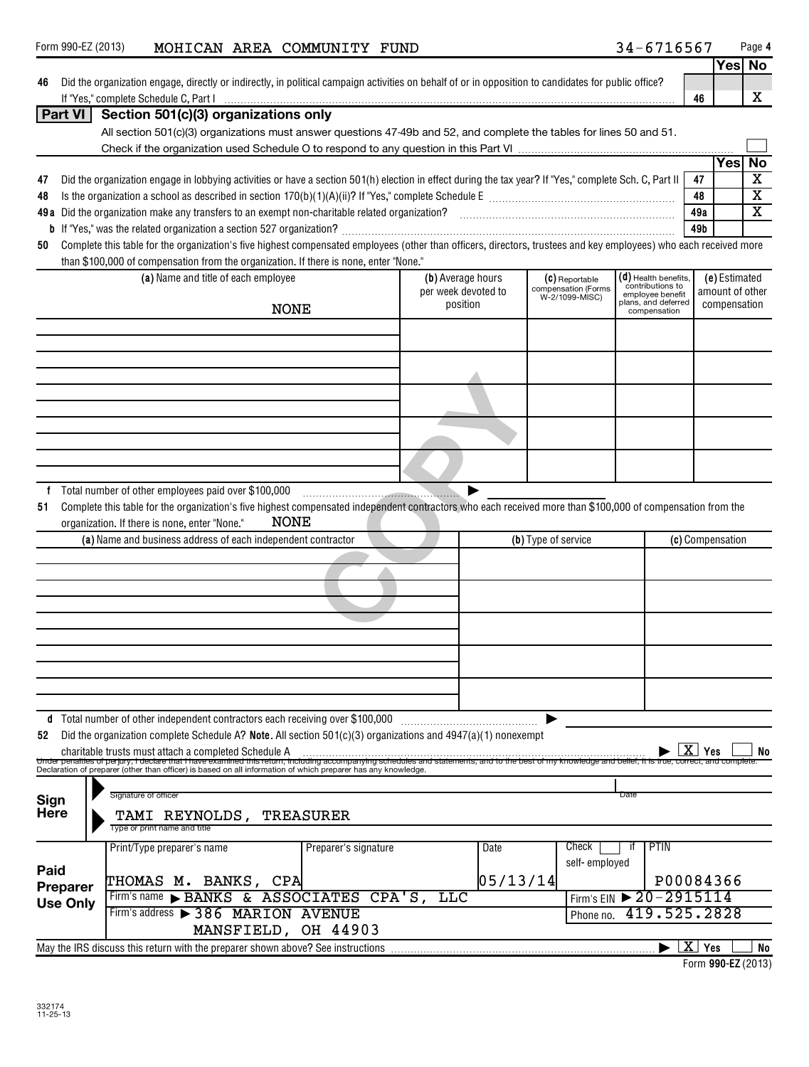| 46                  | Did the organization engage, directly or indirectly, in political campaign activities on behalf of or in opposition to candidates for public office? |                                                                                                                                                                                                                                                                |                      |                     |          |                                       | 46                                              |     | x                |                         |
|---------------------|------------------------------------------------------------------------------------------------------------------------------------------------------|----------------------------------------------------------------------------------------------------------------------------------------------------------------------------------------------------------------------------------------------------------------|----------------------|---------------------|----------|---------------------------------------|-------------------------------------------------|-----|------------------|-------------------------|
|                     | Part VI                                                                                                                                              | Section 501(c)(3) organizations only                                                                                                                                                                                                                           |                      |                     |          |                                       |                                                 |     |                  |                         |
|                     |                                                                                                                                                      | All section 501(c)(3) organizations must answer questions 47-49b and 52, and complete the tables for lines 50 and 51.                                                                                                                                          |                      |                     |          |                                       |                                                 |     |                  |                         |
|                     |                                                                                                                                                      |                                                                                                                                                                                                                                                                |                      |                     |          |                                       |                                                 |     |                  |                         |
|                     |                                                                                                                                                      |                                                                                                                                                                                                                                                                |                      |                     |          |                                       |                                                 |     | Yes              | No                      |
| 47                  |                                                                                                                                                      | Did the organization engage in lobbying activities or have a section 501(h) election in effect during the tax year? If "Yes," complete Sch. C, Part II                                                                                                         |                      |                     |          |                                       |                                                 | 47  |                  | X                       |
| 48                  |                                                                                                                                                      |                                                                                                                                                                                                                                                                |                      |                     |          |                                       |                                                 | 48  |                  | $\overline{\textbf{x}}$ |
|                     |                                                                                                                                                      |                                                                                                                                                                                                                                                                |                      |                     |          |                                       |                                                 | 49a |                  | $\overline{\textbf{x}}$ |
|                     |                                                                                                                                                      |                                                                                                                                                                                                                                                                |                      |                     |          |                                       |                                                 | 49b |                  |                         |
| 50                  |                                                                                                                                                      | Complete this table for the organization's five highest compensated employees (other than officers, directors, trustees and key employees) who each received more                                                                                              |                      |                     |          |                                       |                                                 |     |                  |                         |
|                     |                                                                                                                                                      | than \$100,000 of compensation from the organization. If there is none, enter "None."                                                                                                                                                                          |                      |                     |          |                                       |                                                 |     |                  |                         |
|                     |                                                                                                                                                      | (a) Name and title of each employee                                                                                                                                                                                                                            |                      | (b) Average hours   |          | (C) Reportable                        | (d) Health benefits,                            |     | (e) Estimated    |                         |
|                     |                                                                                                                                                      |                                                                                                                                                                                                                                                                |                      | per week devoted to |          | compensation (Forms<br>W-2/1099-MISC) | contributions to<br>employee benefit            |     | amount of other  |                         |
|                     |                                                                                                                                                      | <b>NONE</b>                                                                                                                                                                                                                                                    |                      | position            |          |                                       | plans, and deferred<br>compensation             |     | compensation     |                         |
|                     |                                                                                                                                                      |                                                                                                                                                                                                                                                                |                      |                     |          |                                       |                                                 |     |                  |                         |
|                     |                                                                                                                                                      |                                                                                                                                                                                                                                                                |                      |                     |          |                                       |                                                 |     |                  |                         |
|                     |                                                                                                                                                      |                                                                                                                                                                                                                                                                |                      |                     |          |                                       |                                                 |     |                  |                         |
|                     |                                                                                                                                                      |                                                                                                                                                                                                                                                                |                      |                     |          |                                       |                                                 |     |                  |                         |
|                     |                                                                                                                                                      |                                                                                                                                                                                                                                                                |                      |                     |          |                                       |                                                 |     |                  |                         |
|                     |                                                                                                                                                      |                                                                                                                                                                                                                                                                |                      |                     |          |                                       |                                                 |     |                  |                         |
|                     |                                                                                                                                                      |                                                                                                                                                                                                                                                                |                      |                     |          |                                       |                                                 |     |                  |                         |
|                     |                                                                                                                                                      |                                                                                                                                                                                                                                                                |                      |                     |          |                                       |                                                 |     |                  |                         |
|                     |                                                                                                                                                      |                                                                                                                                                                                                                                                                |                      |                     |          |                                       |                                                 |     |                  |                         |
|                     |                                                                                                                                                      |                                                                                                                                                                                                                                                                |                      |                     |          |                                       |                                                 |     |                  |                         |
|                     |                                                                                                                                                      | f Total number of other employees paid over \$100,000                                                                                                                                                                                                          |                      |                     |          |                                       |                                                 |     |                  |                         |
| 51                  |                                                                                                                                                      | Complete this table for the organization's five highest compensated independent contractors who each received more than \$100,000 of compensation from the                                                                                                     |                      |                     |          |                                       |                                                 |     |                  |                         |
|                     |                                                                                                                                                      | <b>NONE</b><br>organization. If there is none, enter "None."                                                                                                                                                                                                   |                      |                     |          |                                       |                                                 |     |                  |                         |
|                     |                                                                                                                                                      | (a) Name and business address of each independent contractor                                                                                                                                                                                                   |                      |                     |          | (b) Type of service                   |                                                 |     | (c) Compensation |                         |
|                     |                                                                                                                                                      |                                                                                                                                                                                                                                                                |                      |                     |          |                                       |                                                 |     |                  |                         |
|                     |                                                                                                                                                      |                                                                                                                                                                                                                                                                |                      |                     |          |                                       |                                                 |     |                  |                         |
|                     |                                                                                                                                                      |                                                                                                                                                                                                                                                                |                      |                     |          |                                       |                                                 |     |                  |                         |
|                     |                                                                                                                                                      |                                                                                                                                                                                                                                                                |                      |                     |          |                                       |                                                 |     |                  |                         |
|                     |                                                                                                                                                      |                                                                                                                                                                                                                                                                |                      |                     |          |                                       |                                                 |     |                  |                         |
|                     |                                                                                                                                                      |                                                                                                                                                                                                                                                                |                      |                     |          |                                       |                                                 |     |                  |                         |
|                     |                                                                                                                                                      |                                                                                                                                                                                                                                                                |                      |                     |          |                                       |                                                 |     |                  |                         |
|                     |                                                                                                                                                      |                                                                                                                                                                                                                                                                |                      |                     |          |                                       |                                                 |     |                  |                         |
|                     |                                                                                                                                                      |                                                                                                                                                                                                                                                                |                      |                     |          |                                       |                                                 |     |                  |                         |
|                     |                                                                                                                                                      |                                                                                                                                                                                                                                                                |                      |                     |          |                                       |                                                 |     |                  |                         |
|                     |                                                                                                                                                      | d Total number of other independent contractors each receiving over \$100,000                                                                                                                                                                                  |                      |                     |          |                                       |                                                 |     |                  |                         |
| 52                  |                                                                                                                                                      | Did the organization complete Schedule A? Note. All section $501(c)(3)$ organizations and $4947(a)(1)$ nonexempt                                                                                                                                               |                      |                     |          |                                       |                                                 |     |                  |                         |
|                     |                                                                                                                                                      | charitable trusts must attach a completed Schedule A<br>Under penalties of perjury, I declare that I have examined this return, including accompanying schedules and statements, and to the best of my knowledge and belief, it is true, correct, and complete |                      |                     |          |                                       | x                                               | Yes |                  | No                      |
|                     |                                                                                                                                                      | Declaration of preparer (other than officer) is based on all information of which preparer has any knowledge.                                                                                                                                                  |                      |                     |          |                                       |                                                 |     |                  |                         |
|                     |                                                                                                                                                      | Signature of officer                                                                                                                                                                                                                                           |                      |                     |          |                                       | Date                                            |     |                  |                         |
| Sign<br><b>Here</b> |                                                                                                                                                      |                                                                                                                                                                                                                                                                |                      |                     |          |                                       |                                                 |     |                  |                         |
|                     |                                                                                                                                                      | TAMI REYNOLDS,<br>Type or print name and title                                                                                                                                                                                                                 | <b>TREASURER</b>     |                     |          |                                       |                                                 |     |                  |                         |
|                     |                                                                                                                                                      | Print/Type preparer's name                                                                                                                                                                                                                                     | Preparer's signature |                     |          | Check                                 | <b>PTIN</b>                                     |     |                  |                         |
|                     |                                                                                                                                                      |                                                                                                                                                                                                                                                                |                      |                     | Date     | self-employed                         |                                                 |     |                  |                         |
| Paid                |                                                                                                                                                      |                                                                                                                                                                                                                                                                |                      |                     |          |                                       |                                                 |     |                  |                         |
|                     | Preparer                                                                                                                                             | THOMAS M. BANKS, CPA                                                                                                                                                                                                                                           |                      |                     | 05/13/14 |                                       | P00084366                                       |     |                  |                         |
|                     | <b>Use Only</b>                                                                                                                                      | & ASSOCIATES<br>Firm's name<br>$\blacktriangleright$ BANKS                                                                                                                                                                                                     | CPA'S                | <b>TTC</b>          |          |                                       | Firm's EIN > 20-2915114                         |     |                  |                         |
|                     |                                                                                                                                                      | Firm's address > 386 MARION AVENUE                                                                                                                                                                                                                             |                      |                     |          | Phone no.                             | 419.525.2828                                    |     |                  |                         |
|                     |                                                                                                                                                      | MANSFIELD, OH 44903                                                                                                                                                                                                                                            |                      |                     |          |                                       |                                                 |     |                  |                         |
|                     |                                                                                                                                                      | May the IRS discuss this return with the preparer shown above? See instructions                                                                                                                                                                                |                      |                     |          |                                       | $\blacktriangleright$ $\lfloor$ X $\rfloor$ Yes |     |                  | <b>No</b>               |

**990-EZ**  Form (2013)

**4**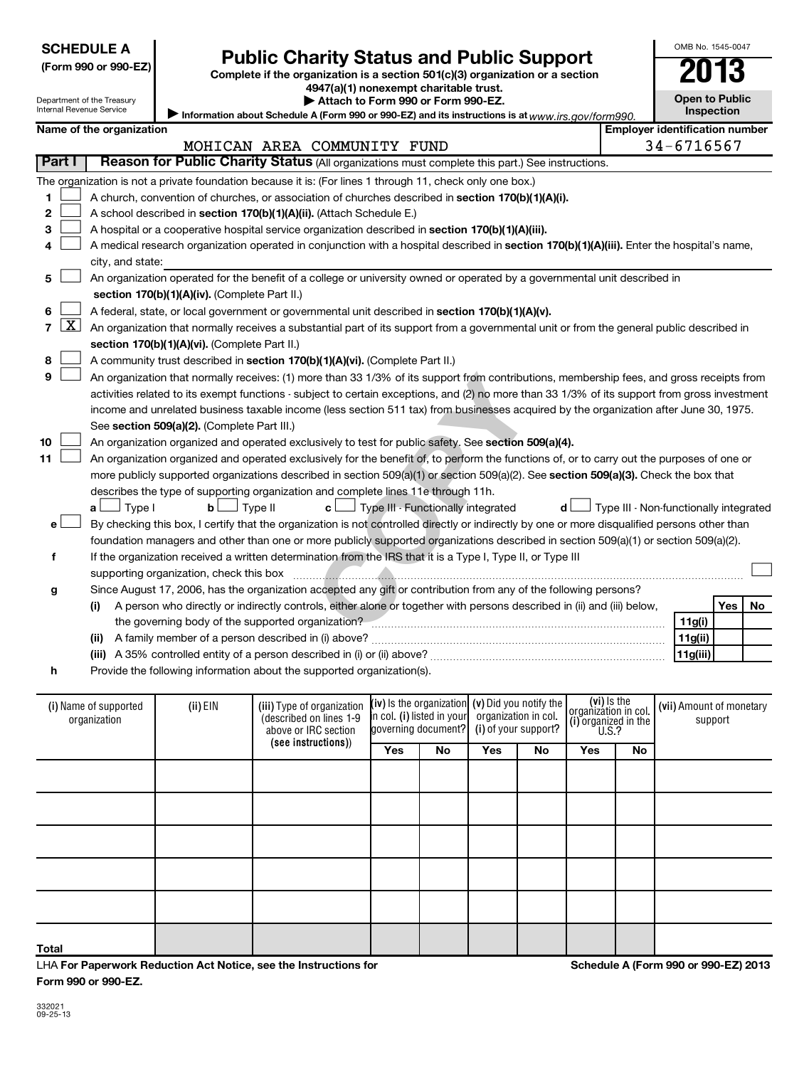|  | _ |
|--|---|
|  |   |
|  |   |

**Total**

LHA **For Paperwork Reduction Act Notice, see the Instructions for Form 990 or 990-EZ.**

**Schedule A (Form 990 or 990-EZ) 2013**

# **SCHEDULE A**

## **(Form 990 or 990-EZ) Complete if the organization is a section 501(c)(3) organization or a section 4947(a)(1) nonexempt charitable trust.**

**| Attach to Form 990 or Form 990-EZ.** 

**Public Charity Status and Public Support** 

From an and 1/3% of its support from contributions, meripect to certain exceptions, and (2) no more than 33 1/3<br>
The (less section 511 tax) from businesses acquired by usively to test for public safety. See **section 509(a** Department of the Treasury Internal Revenue Service Information about Schedule A (Form 990 or 990-EZ) and its instructions is at www.irs.gov/form990. (i) Name of supported | (ii) EIN (iii) Type of organization **[IV**) Is the organization**] (V)** DIQ you notify the **consignation** in col **[(Vii)** Amount of monetary **(see instructions)** ) **(iv)** Is the organization **i**n col. **(i)** listed in your **(v)**  Did you notify the **(i)**  of your support? **(vi) (i) Inspection Name of the organization Employer identification number 1 2 3 4 5** † **6 7 8 9 10 11** A church, convention of churches, or association of churches described in section 170(b)(1)(A)(i). A school described in **section 170(b)(1)(A)(ii).** (Attach Schedule E.) A hospital or a cooperative hospital service organization described in **section 170(b)(1)(A)(iii).** A medical research organization operated in conjunction with a hospital described in **section 170(b)(1)(A)(iii).** Enter the hospital's name, **section 170(b)(1)(A)(iv).**  (Complete Part II.) A federal, state, or local government or governmental unit described in **section 170(b)(1)(A)(v). section 170(b)(1)(A)(vi).** (Complete Part II.) A community trust described in **section 170(b)(1)(A)(vi).** (Complete Part II.) See s**ection 509(a)(2).** (Complete Part III.) An organization organized and operated exclusively to test for public safety. See **section 509(a)(4).** more publicly supported organizations described in section 509(a)(1) or section 509(a)(2). See **section 509(a)(3).** Check the box that **a b c d** Type I Type II Type III - Functionally integrated Type III - Non-functionally integrated † † † † **e f g h (i) (ii)** A family member of a person described in (i) above? ~~~~~~~~~~~~~~~~~~~~~~~~~~~~~~ **(iii)** A 35% controlled entity of a person described in (i) or (ii) above? ~~~~~~~~~~~~~~~~~~~~~~~~ **Yes No 11g(i) 11g(ii) 11g(iii) Yes No Yes No Yes No** (described on lines 1-9 above or IRC section **l**aovernina document? organization in col. organization in col.<br>(i) organized in the U.S.? (i) Name of supported organization support **Part I** | Reason for Public Charity Status (All organizations must complete this part.) See instructions. The organization is not a private foundation because it is: (For lines 1 through 11, check only one box.) city, and state: An organization operated for the benefit of a college or university owned or operated by a governmental unit described in An organization that normally receives a substantial part of its support from a governmental unit or from the general public described in An organization that normally receives: (1) more than 33 1/3% of its support from contributions, membership fees, and gross receipts from activities related to its exempt functions - subject to certain exceptions, and (2) no more than 33 1/3% of its support from gross investment income and unrelated business taxable income (less section 511 tax) from businesses acquired by the organization after June 30, 1975. An organization organized and operated exclusively for the benefit of, to perform the functions of, or to carry out the purposes of one or describes the type of supporting organization and complete lines 11e through 11h. By checking this box, I certify that the organization is not controlled directly or indirectly by one or more disqualified persons other than foundation managers and other than one or more publicly supported organizations described in section 509(a)(1) or section 509(a)(2). If the organization received a written determination from the IRS that it is a Type I, Type II, or Type III supporting organization, check this box ~~~~~~~~~~~~~~~~~~~~~~~~~~~~~~~~~~~~~~~~~~~~~~ Since August 17, 2006, has the organization accepted any gift or contribution from any of the following persons? A person who directly or indirectly controls, either alone or together with persons described in (ii) and (iii) below, the governing body of the supported organization? ~~~~~~~~~~~~~~~~~~~~~~~~~~~~~~ Provide the following information about the supported organization(s).  $\sim$  $\sim$  $\sim$  $\sim$  $\sim$  $\lfloor x \rfloor$  $\sim$  $\sim$  $\sim$  $\sim$ †  $\pm$ MOHICAN AREA COMMUNITY FUND 34-6716567



**Open to Public**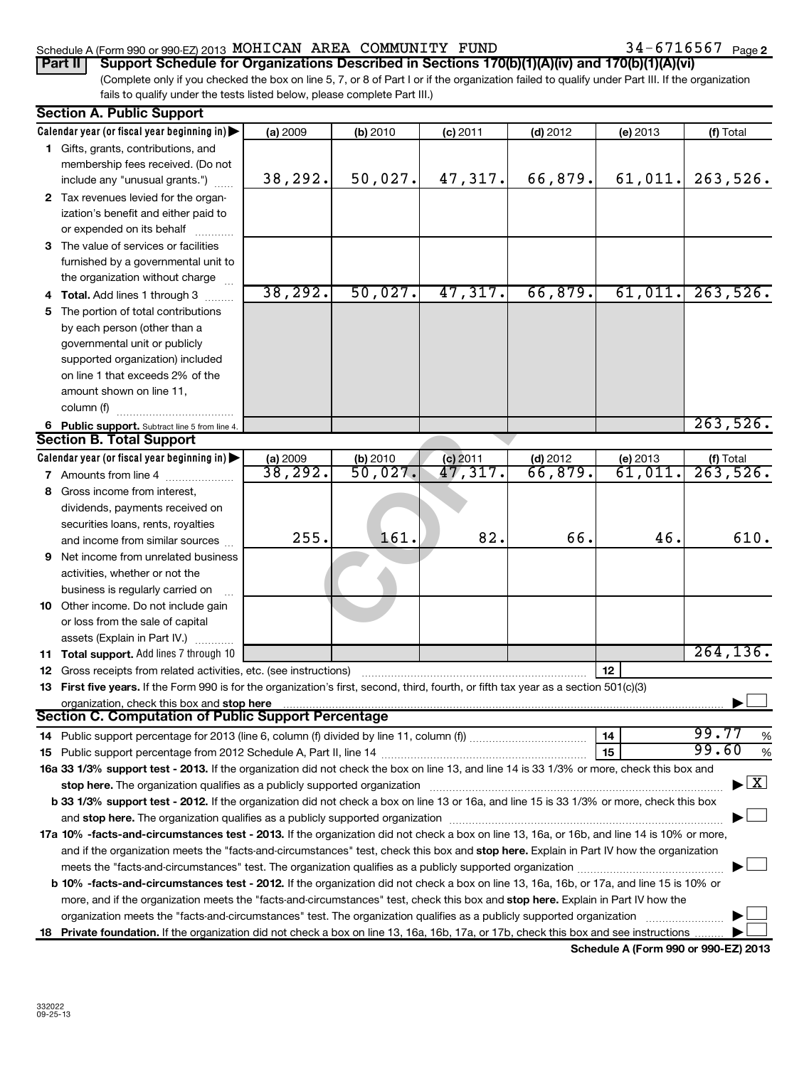## Schedule A (Form 990 or 990-EZ) 2013  $MOHICAN$  AREA  $COMMUNITY$   $FUND$   $34-6716567$   $_{Page}$

(Complete only if you checked the box on line 5, 7, or 8 of Part I or if the organization failed to qualify under Part III. If the organization fails to qualify under the tests listed below, please complete Part III.) **Part II** Support Schedule for Organizations Described in Sections 170(b)(1)(A)(iv) and 170(b)(1)(A)(vi)

|     | <b>Section A. Public Support</b>                                                                                                                                                                                                   |                               |          |            |            |                        |                                          |  |
|-----|------------------------------------------------------------------------------------------------------------------------------------------------------------------------------------------------------------------------------------|-------------------------------|----------|------------|------------|------------------------|------------------------------------------|--|
|     | Calendar year (or fiscal year beginning in)                                                                                                                                                                                        | (a) 2009                      | (b) 2010 | $(c)$ 2011 | $(d)$ 2012 | (e) 2013               | (f) Total                                |  |
|     | 1 Gifts, grants, contributions, and                                                                                                                                                                                                |                               |          |            |            |                        |                                          |  |
|     | membership fees received. (Do not                                                                                                                                                                                                  |                               |          |            |            |                        |                                          |  |
|     | include any "unusual grants.")                                                                                                                                                                                                     | 38,292.                       | 50,027.  | 47,317.    | 66,879.    | 61,011.                | 263,526.                                 |  |
|     | 2 Tax revenues levied for the organ-                                                                                                                                                                                               |                               |          |            |            |                        |                                          |  |
|     | ization's benefit and either paid to                                                                                                                                                                                               |                               |          |            |            |                        |                                          |  |
|     | or expended on its behalf                                                                                                                                                                                                          |                               |          |            |            |                        |                                          |  |
|     | 3 The value of services or facilities                                                                                                                                                                                              |                               |          |            |            |                        |                                          |  |
|     | furnished by a governmental unit to                                                                                                                                                                                                |                               |          |            |            |                        |                                          |  |
|     | the organization without charge                                                                                                                                                                                                    |                               |          |            |            |                        |                                          |  |
|     | 4 Total. Add lines 1 through 3                                                                                                                                                                                                     | 38, 292.                      | 50,027.  | 47,317.    | 66,879.    | 61,011.                | 263,526.                                 |  |
| 5.  | The portion of total contributions                                                                                                                                                                                                 |                               |          |            |            |                        |                                          |  |
|     | by each person (other than a                                                                                                                                                                                                       |                               |          |            |            |                        |                                          |  |
|     | governmental unit or publicly                                                                                                                                                                                                      |                               |          |            |            |                        |                                          |  |
|     | supported organization) included                                                                                                                                                                                                   |                               |          |            |            |                        |                                          |  |
|     | on line 1 that exceeds 2% of the                                                                                                                                                                                                   |                               |          |            |            |                        |                                          |  |
|     | amount shown on line 11,                                                                                                                                                                                                           |                               |          |            |            |                        |                                          |  |
|     | column (f)                                                                                                                                                                                                                         |                               |          |            |            |                        |                                          |  |
|     | 6 Public support. Subtract line 5 from line 4.                                                                                                                                                                                     |                               |          |            |            |                        | 263,526.                                 |  |
|     | <b>Section B. Total Support</b>                                                                                                                                                                                                    |                               |          |            |            |                        |                                          |  |
|     | Calendar year (or fiscal year beginning in)                                                                                                                                                                                        | $\frac{$ (a) 2009<br>38, 292. | (b) 2010 | (c) 2011   | $(d)$ 2012 | (e) $2013$<br>61, 011. | $($ f) Total 263, 526.                   |  |
|     | 7 Amounts from line 4                                                                                                                                                                                                              |                               | 50,027.  | 47,317.    | 66,879.    |                        |                                          |  |
| 8   | Gross income from interest,                                                                                                                                                                                                        |                               |          |            |            |                        |                                          |  |
|     | dividends, payments received on                                                                                                                                                                                                    |                               |          |            |            |                        |                                          |  |
|     | securities loans, rents, royalties                                                                                                                                                                                                 |                               |          |            |            |                        |                                          |  |
|     | and income from similar sources                                                                                                                                                                                                    | 255.                          | 161      | 82.        | 66.        | 46.                    | 610.                                     |  |
| 9   | Net income from unrelated business                                                                                                                                                                                                 |                               |          |            |            |                        |                                          |  |
|     | activities, whether or not the                                                                                                                                                                                                     |                               |          |            |            |                        |                                          |  |
|     | business is regularly carried on                                                                                                                                                                                                   |                               |          |            |            |                        |                                          |  |
|     | 10 Other income. Do not include gain                                                                                                                                                                                               |                               |          |            |            |                        |                                          |  |
|     | or loss from the sale of capital                                                                                                                                                                                                   |                               |          |            |            |                        |                                          |  |
|     | assets (Explain in Part IV.)                                                                                                                                                                                                       |                               |          |            |            |                        |                                          |  |
|     | 11 Total support. Add lines 7 through 10                                                                                                                                                                                           |                               |          |            |            |                        | 264, 136.                                |  |
|     | 12 Gross receipts from related activities, etc. (see instructions)                                                                                                                                                                 |                               |          |            |            | 12                     |                                          |  |
|     | 13 First five years. If the Form 990 is for the organization's first, second, third, fourth, or fifth tax year as a section 501(c)(3)                                                                                              |                               |          |            |            |                        |                                          |  |
|     | organization, check this box and <b>stop here</b> manufactured and the control of the state of the control of the control of the control of the control of the control of the control of the control of the control of the control |                               |          |            |            |                        |                                          |  |
|     | Section C. Computation of Public Support Percentage                                                                                                                                                                                |                               |          |            |            |                        |                                          |  |
|     |                                                                                                                                                                                                                                    |                               |          |            |            | 14                     | 99.77<br>%                               |  |
|     |                                                                                                                                                                                                                                    |                               |          |            |            | 15                     | 99.60<br>%                               |  |
|     | 16a 33 1/3% support test - 2013. If the organization did not check the box on line 13, and line 14 is 33 1/3% or more, check this box and                                                                                          |                               |          |            |            |                        |                                          |  |
|     |                                                                                                                                                                                                                                    |                               |          |            |            |                        | $\blacktriangleright$ $\boxed{\text{X}}$ |  |
|     | b 33 1/3% support test - 2012. If the organization did not check a box on line 13 or 16a, and line 15 is 33 1/3% or more, check this box                                                                                           |                               |          |            |            |                        |                                          |  |
|     |                                                                                                                                                                                                                                    |                               |          |            |            |                        |                                          |  |
|     | 17a 10% -facts-and-circumstances test - 2013. If the organization did not check a box on line 13, 16a, or 16b, and line 14 is 10% or more,                                                                                         |                               |          |            |            |                        |                                          |  |
|     | and if the organization meets the "facts-and-circumstances" test, check this box and stop here. Explain in Part IV how the organization                                                                                            |                               |          |            |            |                        |                                          |  |
|     |                                                                                                                                                                                                                                    |                               |          |            |            |                        |                                          |  |
|     | b 10% -facts-and-circumstances test - 2012. If the organization did not check a box on line 13, 16a, 16b, or 17a, and line 15 is 10% or                                                                                            |                               |          |            |            |                        |                                          |  |
|     | more, and if the organization meets the "facts-and-circumstances" test, check this box and stop here. Explain in Part IV how the                                                                                                   |                               |          |            |            |                        |                                          |  |
|     | organization meets the "facts-and-circumstances" test. The organization qualifies as a publicly supported organization                                                                                                             |                               |          |            |            |                        |                                          |  |
| 18. | <b>Private foundation.</b> If the organization did not check a box on line 13, 16a, 16b, 17a, or 17b, check this box and see instructions                                                                                          |                               |          |            |            |                        |                                          |  |

**Schedule A (Form 990 or 990-EZ) 2013**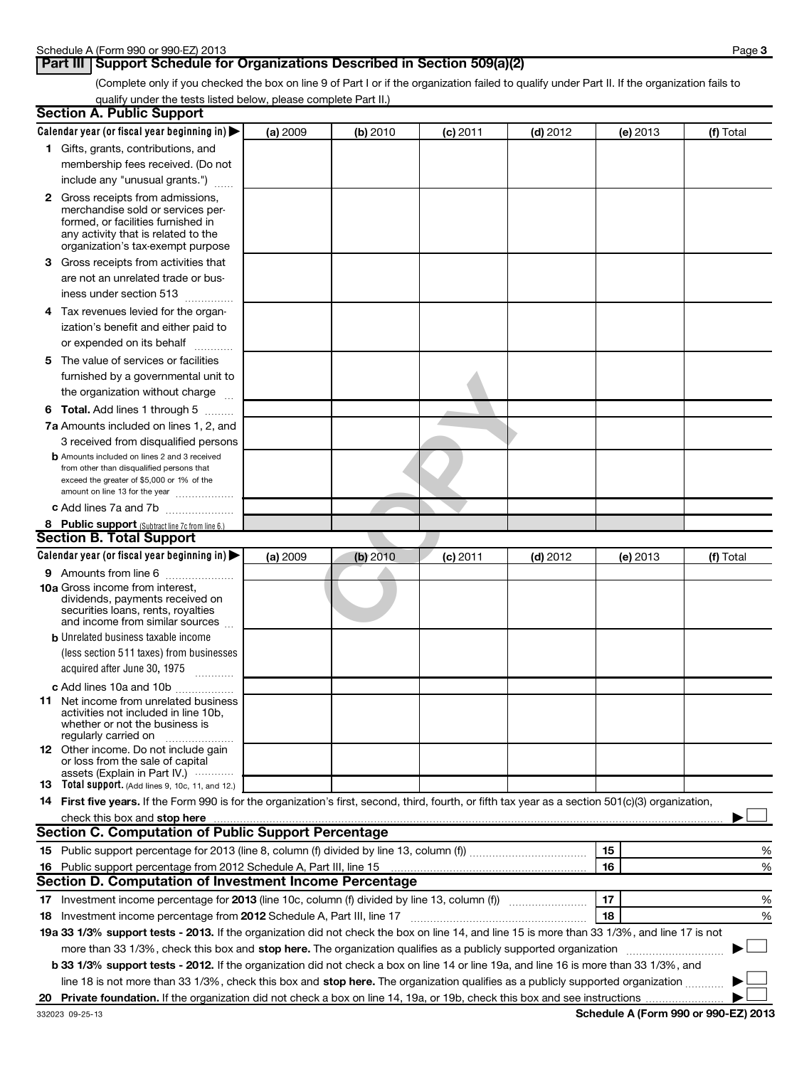## **Part III** | Support Schedule for Organizations Described in Section 509(a)(2)

(Complete only if you checked the box on line 9 of Part I or if the organization failed to qualify under Part II. If the organization fails to qualify under the tests listed below, please complete Part II.)

| <b>Section A. Public Support</b>                                                                                                                                                                                                                                                      |          |          |            |            |    |          |           |
|---------------------------------------------------------------------------------------------------------------------------------------------------------------------------------------------------------------------------------------------------------------------------------------|----------|----------|------------|------------|----|----------|-----------|
| Calendar year (or fiscal year beginning in)                                                                                                                                                                                                                                           | (a) 2009 | (b) 2010 | $(c)$ 2011 | $(d)$ 2012 |    | (e) 2013 | (f) Total |
| 1 Gifts, grants, contributions, and                                                                                                                                                                                                                                                   |          |          |            |            |    |          |           |
| membership fees received. (Do not                                                                                                                                                                                                                                                     |          |          |            |            |    |          |           |
| include any "unusual grants.")                                                                                                                                                                                                                                                        |          |          |            |            |    |          |           |
| <b>2</b> Gross receipts from admissions,                                                                                                                                                                                                                                              |          |          |            |            |    |          |           |
| merchandise sold or services per-                                                                                                                                                                                                                                                     |          |          |            |            |    |          |           |
| formed, or facilities furnished in                                                                                                                                                                                                                                                    |          |          |            |            |    |          |           |
| any activity that is related to the<br>organization's tax-exempt purpose                                                                                                                                                                                                              |          |          |            |            |    |          |           |
|                                                                                                                                                                                                                                                                                       |          |          |            |            |    |          |           |
| 3 Gross receipts from activities that                                                                                                                                                                                                                                                 |          |          |            |            |    |          |           |
| are not an unrelated trade or bus-                                                                                                                                                                                                                                                    |          |          |            |            |    |          |           |
| iness under section 513                                                                                                                                                                                                                                                               |          |          |            |            |    |          |           |
| 4 Tax revenues levied for the organ-                                                                                                                                                                                                                                                  |          |          |            |            |    |          |           |
| ization's benefit and either paid to                                                                                                                                                                                                                                                  |          |          |            |            |    |          |           |
| or expended on its behalf                                                                                                                                                                                                                                                             |          |          |            |            |    |          |           |
| 5 The value of services or facilities                                                                                                                                                                                                                                                 |          |          |            |            |    |          |           |
| furnished by a governmental unit to                                                                                                                                                                                                                                                   |          |          |            |            |    |          |           |
| the organization without charge                                                                                                                                                                                                                                                       |          |          |            |            |    |          |           |
| <b>6 Total.</b> Add lines 1 through 5                                                                                                                                                                                                                                                 |          |          |            |            |    |          |           |
| 7a Amounts included on lines 1, 2, and                                                                                                                                                                                                                                                |          |          |            |            |    |          |           |
| 3 received from disqualified persons                                                                                                                                                                                                                                                  |          |          |            |            |    |          |           |
| <b>b</b> Amounts included on lines 2 and 3 received                                                                                                                                                                                                                                   |          |          |            |            |    |          |           |
| from other than disqualified persons that                                                                                                                                                                                                                                             |          |          |            |            |    |          |           |
| exceed the greater of \$5,000 or 1% of the<br>amount on line 13 for the year                                                                                                                                                                                                          |          |          |            |            |    |          |           |
| c Add lines 7a and 7b                                                                                                                                                                                                                                                                 |          |          |            |            |    |          |           |
|                                                                                                                                                                                                                                                                                       |          |          |            |            |    |          |           |
| 8 Public support (Subtract line 7c from line 6.)<br><b>Section B. Total Support</b>                                                                                                                                                                                                   |          |          |            |            |    |          |           |
| Calendar year (or fiscal year beginning in)                                                                                                                                                                                                                                           | (a) 2009 |          |            | $(d)$ 2012 |    |          | (f) Total |
|                                                                                                                                                                                                                                                                                       |          | (b) 2010 | $(c)$ 2011 |            |    | (e) 2013 |           |
| <b>9</b> Amounts from line 6<br><b>10a</b> Gross income from interest,                                                                                                                                                                                                                |          |          |            |            |    |          |           |
| dividends, payments received on                                                                                                                                                                                                                                                       |          |          |            |            |    |          |           |
| securities loans, rents, royalties                                                                                                                                                                                                                                                    |          |          |            |            |    |          |           |
| and income from similar sources                                                                                                                                                                                                                                                       |          |          |            |            |    |          |           |
| <b>b</b> Unrelated business taxable income                                                                                                                                                                                                                                            |          |          |            |            |    |          |           |
| (less section 511 taxes) from businesses                                                                                                                                                                                                                                              |          |          |            |            |    |          |           |
| acquired after June 30, 1975<br>$\overline{\phantom{a}}$                                                                                                                                                                                                                              |          |          |            |            |    |          |           |
| c Add lines 10a and 10b                                                                                                                                                                                                                                                               |          |          |            |            |    |          |           |
| <b>11</b> Net income from unrelated business                                                                                                                                                                                                                                          |          |          |            |            |    |          |           |
| activities not included in line 10b,                                                                                                                                                                                                                                                  |          |          |            |            |    |          |           |
| whether or not the business is<br>regularly carried on                                                                                                                                                                                                                                |          |          |            |            |    |          |           |
| 12 Other income. Do not include gain                                                                                                                                                                                                                                                  |          |          |            |            |    |          |           |
| or loss from the sale of capital                                                                                                                                                                                                                                                      |          |          |            |            |    |          |           |
| assets (Explain in Part IV.) $\cdots$<br>13 Total support. (Add lines 9, 10c, 11, and 12.)                                                                                                                                                                                            |          |          |            |            |    |          |           |
| 14 First five years. If the Form 990 is for the organization's first, second, third, fourth, or fifth tax year as a section 501(c)(3) organization,                                                                                                                                   |          |          |            |            |    |          |           |
|                                                                                                                                                                                                                                                                                       |          |          |            |            |    |          |           |
| check this box and stop here measurements and the state of the state of the state of the state of the state of the state of the state of the state of the state of the state of the state of the state of the state of the sta<br>Section C. Computation of Public Support Percentage |          |          |            |            |    |          |           |
|                                                                                                                                                                                                                                                                                       |          |          |            |            | 15 |          |           |
|                                                                                                                                                                                                                                                                                       |          |          |            |            |    |          | %         |
| 16 Public support percentage from 2012 Schedule A, Part III, line 15<br>Section D. Computation of Investment Income Percentage                                                                                                                                                        |          |          |            |            | 16 |          | %         |
|                                                                                                                                                                                                                                                                                       |          |          |            |            |    |          |           |
|                                                                                                                                                                                                                                                                                       |          |          |            |            |    |          | %         |
| 17 Investment income percentage for 2013 (line 10c, column (f) divided by line 13, column (f))                                                                                                                                                                                        |          |          |            |            | 17 |          |           |
| 18 Investment income percentage from 2012 Schedule A, Part III, line 17                                                                                                                                                                                                               |          |          |            |            | 18 |          | %         |
| 19a 33 1/3% support tests - 2013. If the organization did not check the box on line 14, and line 15 is more than 33 1/3%, and line 17 is not                                                                                                                                          |          |          |            |            |    |          |           |
| more than 33 1/3%, check this box and stop here. The organization qualifies as a publicly supported organization                                                                                                                                                                      |          |          |            |            |    |          |           |
| b 33 1/3% support tests - 2012. If the organization did not check a box on line 14 or line 19a, and line 16 is more than 33 1/3%, and                                                                                                                                                 |          |          |            |            |    |          |           |
| line 18 is not more than 33 1/3%, check this box and stop here. The organization qualifies as a publicly supported organization                                                                                                                                                       |          |          |            |            |    |          |           |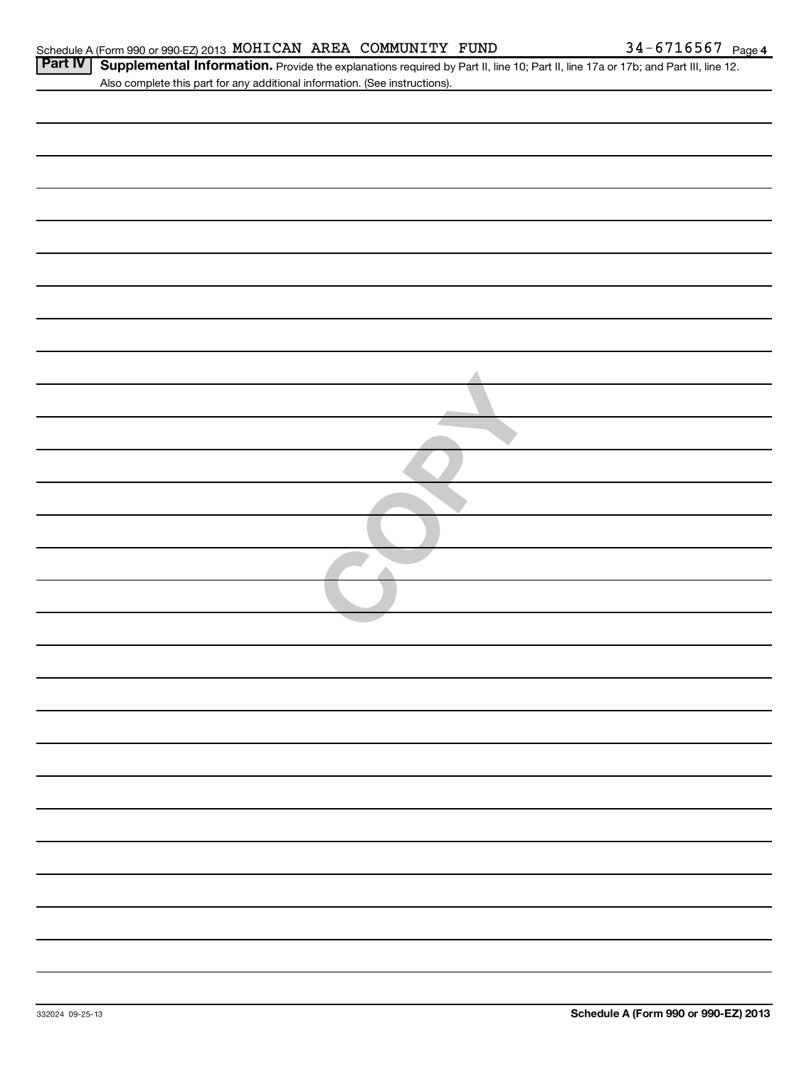| <b>Part IV</b> | Supplemental Information. Provide the explanations required by Part II, line 10; Part II, line 17a or 17b; and Part III, line 12. |
|----------------|-----------------------------------------------------------------------------------------------------------------------------------|
|                | Also complete this part for any additional information. (See instructions).                                                       |
|                |                                                                                                                                   |
|                |                                                                                                                                   |
|                |                                                                                                                                   |
|                |                                                                                                                                   |
|                |                                                                                                                                   |
|                |                                                                                                                                   |
|                |                                                                                                                                   |
|                |                                                                                                                                   |
|                |                                                                                                                                   |
|                |                                                                                                                                   |
|                |                                                                                                                                   |
|                |                                                                                                                                   |
|                |                                                                                                                                   |
|                |                                                                                                                                   |
|                |                                                                                                                                   |
|                |                                                                                                                                   |
|                |                                                                                                                                   |
|                |                                                                                                                                   |
|                |                                                                                                                                   |
|                |                                                                                                                                   |
|                |                                                                                                                                   |
|                |                                                                                                                                   |
|                |                                                                                                                                   |
|                |                                                                                                                                   |
|                |                                                                                                                                   |
|                |                                                                                                                                   |
|                |                                                                                                                                   |
|                |                                                                                                                                   |
|                |                                                                                                                                   |
|                |                                                                                                                                   |
|                |                                                                                                                                   |
|                |                                                                                                                                   |
|                |                                                                                                                                   |
|                |                                                                                                                                   |
|                |                                                                                                                                   |
|                |                                                                                                                                   |
|                |                                                                                                                                   |
|                |                                                                                                                                   |
|                |                                                                                                                                   |
|                |                                                                                                                                   |
|                |                                                                                                                                   |
|                |                                                                                                                                   |
|                |                                                                                                                                   |
|                |                                                                                                                                   |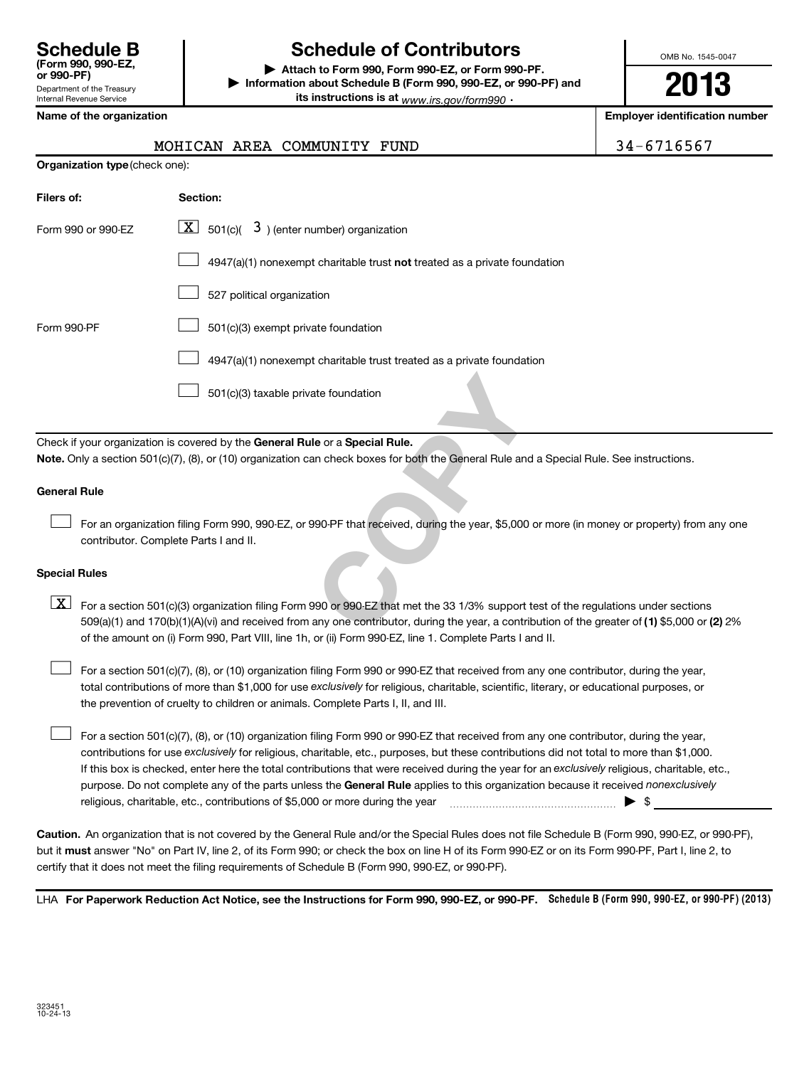| <b>Schedule B</b><br>(Form 990, 990-EZ,<br>or 990-PF) |
|-------------------------------------------------------|
| Department of the Treasury                            |
| <b>Internal Revenue Service</b>                       |

## **Schedule of Contributors**

**or 990-PF) | Attach to Form 990, Form 990-EZ, or Form 990-PF. | Information about Schedule B (Form 990, 990-EZ, or 990-PF) and its instructions is at** <sub>www.irs.gov/form990  $\cdot$ </sub>

OMB No. 1545-0047

**2013**

**Name of the organization Employer identification number**

|  | MOHICAN AREA COMMUNITY FUND | 34-6716567 |
|--|-----------------------------|------------|

| Organization type (check one): |  |  |
|--------------------------------|--|--|

| Filers of:                                                                                                                | Section:                                                                                                                        |  |  |
|---------------------------------------------------------------------------------------------------------------------------|---------------------------------------------------------------------------------------------------------------------------------|--|--|
| Form 990 or 990-EZ                                                                                                        | $\boxed{\underline{\mathbf{X}}}$ 501(c)( 3) (enter number) organization                                                         |  |  |
|                                                                                                                           | 4947(a)(1) nonexempt charitable trust not treated as a private foundation                                                       |  |  |
|                                                                                                                           | 527 political organization                                                                                                      |  |  |
| Form 990-PF                                                                                                               | 501(c)(3) exempt private foundation                                                                                             |  |  |
|                                                                                                                           | 4947(a)(1) nonexempt charitable trust treated as a private foundation                                                           |  |  |
|                                                                                                                           | 501(c)(3) taxable private foundation                                                                                            |  |  |
|                                                                                                                           |                                                                                                                                 |  |  |
|                                                                                                                           | Check if your organization is covered by the General Rule or a Special Rule.                                                    |  |  |
|                                                                                                                           | Note. Only a section 501(c)(7), (8), or (10) organization can check boxes for both the General Rule and a Special Rule. See ins |  |  |
| <b>General Rule</b>                                                                                                       |                                                                                                                                 |  |  |
| contributor. Complete Parts I and II.                                                                                     | For an organization filing Form 990, 990-EZ, or 990-PF that received, during the year, \$5,000 or more (in money or pr          |  |  |
|                                                                                                                           |                                                                                                                                 |  |  |
| <b>Special Rules</b>                                                                                                      |                                                                                                                                 |  |  |
| $\vert$ X $\vert$                                                                                                         | For a section 501(c)(3) organization filing Form 990 or 990-EZ that met the 33 1/3% support test of the regulations un          |  |  |
| 509(a)(1) and 170(b)(1)(A)(vi) and received from any one contributor, during the year, a contribution of the greater of ( |                                                                                                                                 |  |  |
|                                                                                                                           |                                                                                                                                 |  |  |

Check if your organization is covered by the General Rule or a Special Rule. **Note.**  Only a section 501(c)(7), (8), or (10) organization can check boxes for both the General Rule and a Special Rule. See instructions.

## **General Rule**

For an organization filing Form 990, 990-EZ, or 990-PF that received, during the year, \$5,000 or more (in money or property) from any one contributor. Complete Parts I and II.  $\pm$ 

### **Special Rules**

509(a)(1) and 170(b)(1)(A)(vi) and received from any one contributor, during the year, a contribution of the greater of (1**)** \$5,000 or (**2**) 2%  $\boxed{\textbf{X}}$  For a section 501(c)(3) organization filing Form 990 or 990 EZ that met the 33 1/3% support test of the regulations under sections of the amount on (i) Form 990, Part VIII, line 1h, or (ii) Form 990-EZ, line 1. Complete Parts I and II.

total contributions of more than \$1,000 for use exclusively for religious, charitable, scientific, literary, or educational purposes, or For a section 501(c)(7), (8), or (10) organization filing Form 990 or 990-EZ that received from any one contributor, during the year, the prevention of cruelty to children or animals. Complete Parts I, II, and III.  $\pm$ 

purpose. Do not complete any of the parts unless the General Rule applies to this organization because it received nonexclusively contributions for use exclusively for religious, charitable, etc., purposes, but these contributions did not total to more than \$1,000. If this box is checked, enter here the total contributions that were received during the year for an exclusively religious, charitable, etc., For a section 501(c)(7), (8), or (10) organization filing Form 990 or 990-EZ that received from any one contributor, during the year, religious, charitable, etc., contributions of \$5,000 or more during the year  $\ldots$   $\ldots$   $\ldots$   $\ldots$   $\ldots$   $\ldots$   $\ldots$   $\ldots$   $\blacktriangleright$   $\uparrow$  $\pm$ 

**Caution.** An organization that is not covered by the General Rule and/or the Special Rules does not file Schedule B (Form 990, 990-EZ, or 990-PF),  **must** but it answer "No" on Part IV, line 2, of its Form 990; or check the box on line H of its Form 990-EZ or on its Form 990-PF, Part I, line 2, to certify that it does not meet the filing requirements of Schedule B (Form 990, 990-EZ, or 990-PF).

LHA For Paperwork Reduction Act Notice, see the Instructions for Form 990, 990-EZ, or 990-PF. Schedule B (Form 990, 990-EZ, or 990-PF) (2013)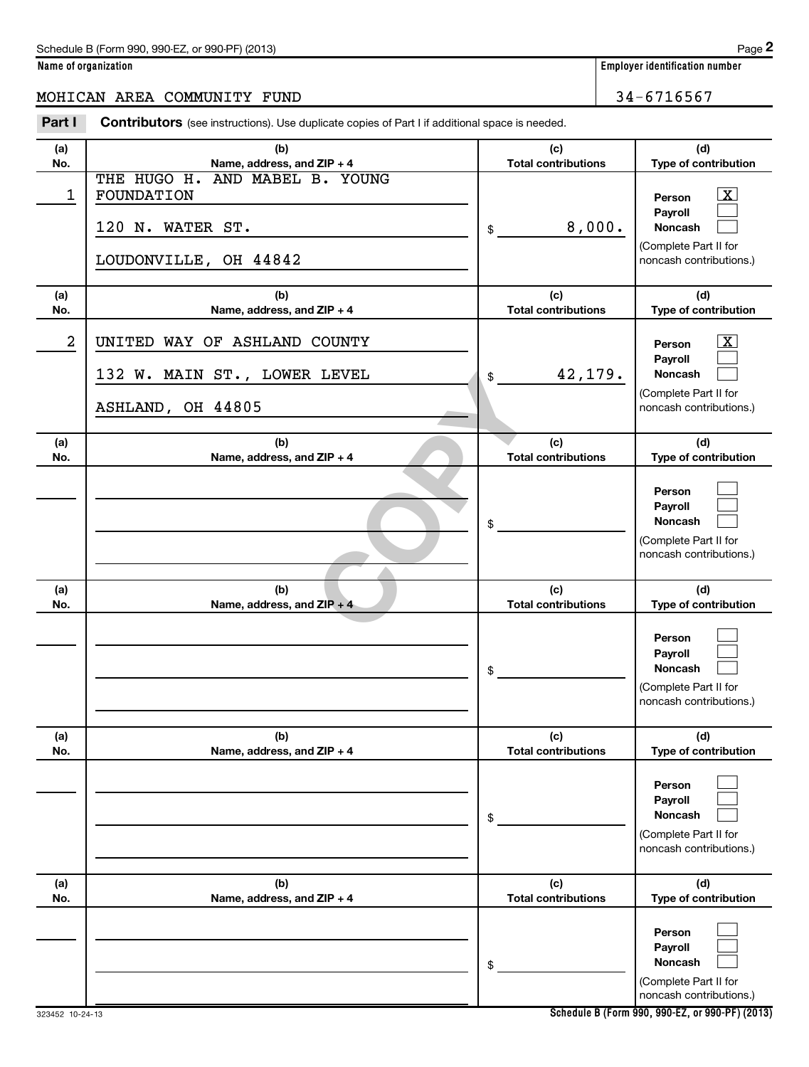| Schedule B (Form 990, 990-EZ, or 990-PF) (2013) | Page |
|-------------------------------------------------|------|
|-------------------------------------------------|------|

**Name of organization Employer identification number**

## MOHICAN AREA COMMUNITY FUND 34-6716567

Part I Contributors (see instructions). Use duplicate copies of Part I if additional space is needed.

| (a)<br>No. | (b)<br>Name, address, and ZIP + 4                                                         | (c)<br><b>Total contributions</b> | (d)<br>Type of contribution                                                                            |
|------------|-------------------------------------------------------------------------------------------|-----------------------------------|--------------------------------------------------------------------------------------------------------|
| 1          | THE HUGO H. AND MABEL B. YOUNG<br>FOUNDATION<br>120 N. WATER ST.<br>LOUDONVILLE, OH 44842 | 8,000.<br>$\mathfrak{S}$          | $\boxed{\text{X}}$<br>Person<br>Payroll<br>Noncash<br>(Complete Part II for<br>noncash contributions.) |
| (a)<br>No. | (b)<br>Name, address, and ZIP + 4                                                         | (c)<br><b>Total contributions</b> | (d)<br>Type of contribution                                                                            |
| 2          | UNITED WAY OF ASHLAND COUNTY                                                              |                                   | $\boxed{\text{X}}$<br>Person                                                                           |
|            | 132 W. MAIN ST., LOWER LEVEL<br>ASHLAND, OH 44805                                         | 42,179.<br>$$^{\circ}$            | Payroll<br><b>Noncash</b><br>(Complete Part II for<br>noncash contributions.)                          |
| (a)<br>No. | (b)<br>Name, address, and ZIP + 4                                                         | (c)<br><b>Total contributions</b> | (d)<br>Type of contribution                                                                            |
|            |                                                                                           | \$                                | Person<br>Payroll<br><b>Noncash</b><br>(Complete Part II for<br>noncash contributions.)                |
| (a)<br>No. | (b)<br>Name, address, and ZIP + 4                                                         | (c)<br><b>Total contributions</b> | (d)<br>Type of contribution                                                                            |
|            |                                                                                           | \$                                | Person<br>Payroll<br><b>Noncash</b><br>(Complete Part II for<br>noncash contributions.)                |
| (a)<br>No. | (b)<br>Name, address, and ZIP + 4                                                         | (c)<br><b>Total contributions</b> | (d)<br>Type of contribution                                                                            |
|            |                                                                                           | \$                                | Person<br>Payroll<br><b>Noncash</b><br>(Complete Part II for<br>noncash contributions.)                |
| (a)<br>No. | (b)<br>Name, address, and ZIP + 4                                                         | (c)<br><b>Total contributions</b> | (d)<br>Type of contribution                                                                            |
|            |                                                                                           | \$                                | Person<br>Payroll<br><b>Noncash</b><br>(Complete Part II for<br>noncash contributions.)                |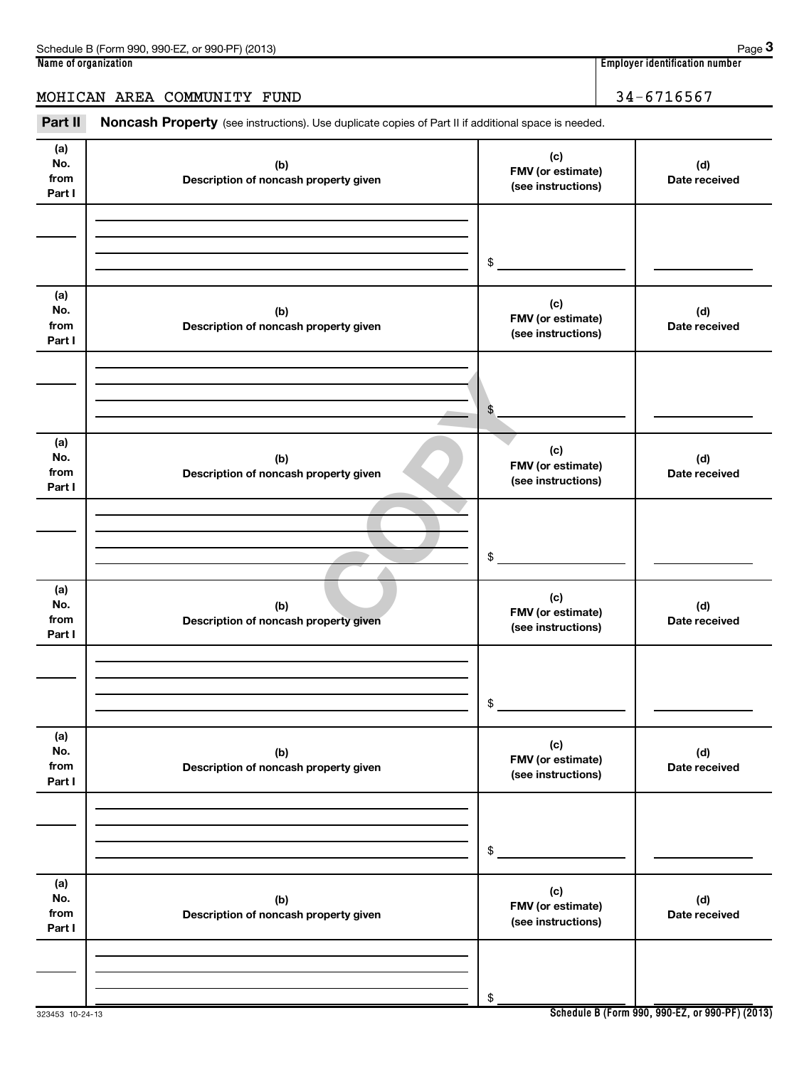## MOHICAN AREA COMMUNITY FUND 34-6716567

Part II Noncash Property (see instructions). Use duplicate copies of Part II if additional space is needed.

| (a)<br>No.<br>from<br>Part I | (b)<br>Description of noncash property given | (c)<br>FMV (or estimate)<br>(see instructions) | (d)<br>Date received |
|------------------------------|----------------------------------------------|------------------------------------------------|----------------------|
|                              |                                              |                                                |                      |
|                              |                                              |                                                |                      |
|                              |                                              | \$                                             |                      |
| (a)<br>No.<br>from<br>Part I | (b)<br>Description of noncash property given | (c)<br>FMV (or estimate)<br>(see instructions) | (d)<br>Date received |
|                              |                                              |                                                |                      |
|                              |                                              |                                                |                      |
|                              |                                              | \$                                             |                      |
| (a)<br>No.<br>from<br>Part I | (b)<br>Description of noncash property given | (c)<br>FMV (or estimate)<br>(see instructions) | (d)<br>Date received |
|                              |                                              |                                                |                      |
|                              |                                              |                                                |                      |
|                              |                                              | \$                                             |                      |
| (a)<br>No.<br>from<br>Part I | (b)<br>Description of noncash property given | (c)<br>FMV (or estimate)<br>(see instructions) | (d)<br>Date received |
|                              |                                              |                                                |                      |
|                              |                                              |                                                |                      |
|                              |                                              | \$                                             |                      |
| (a)<br>No.<br>from<br>Part I | (b)<br>Description of noncash property given | (c)<br>FMV (or estimate)<br>(see instructions) | (d)<br>Date received |
|                              |                                              |                                                |                      |
|                              |                                              |                                                |                      |
|                              |                                              | \$                                             |                      |
| (a)<br>No.<br>from<br>Part I | (b)<br>Description of noncash property given | (c)<br>FMV (or estimate)<br>(see instructions) | (d)<br>Date received |
|                              |                                              |                                                |                      |
|                              |                                              |                                                |                      |
|                              |                                              | \$                                             |                      |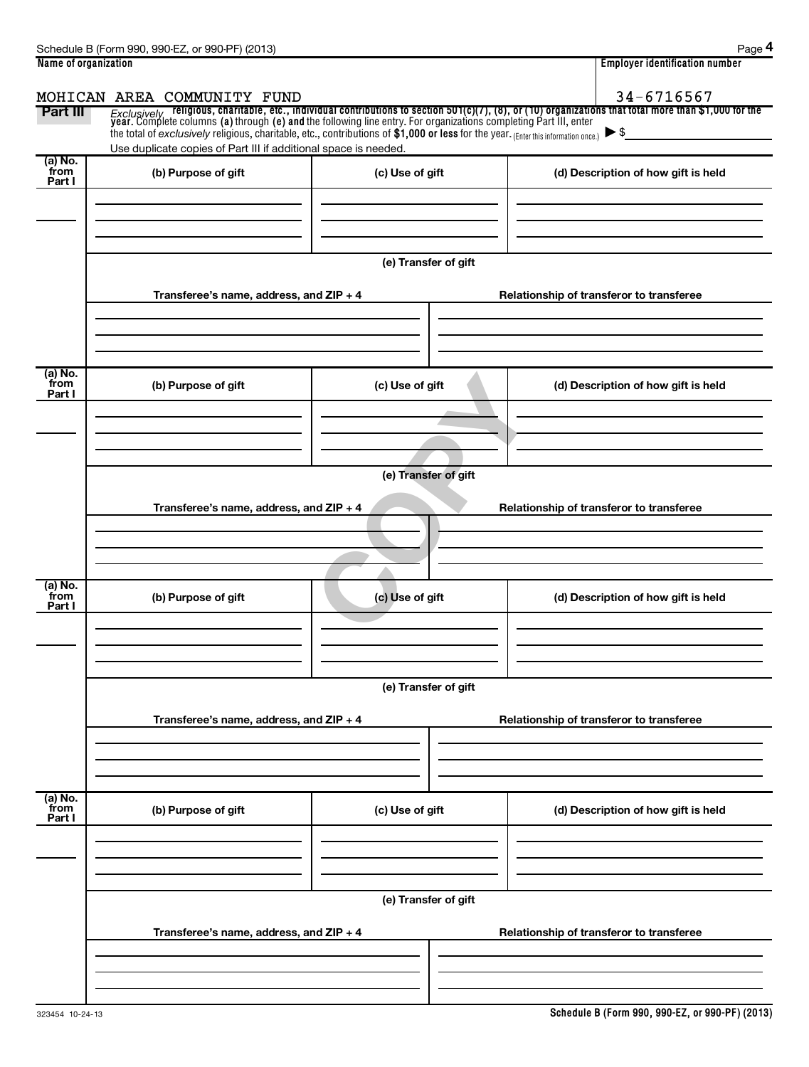| Name of organization                                                                                        |                                                                                                                                                                                                        |                      | <b>Employer identification number</b>                                                                                                                                                                                                                          |
|-------------------------------------------------------------------------------------------------------------|--------------------------------------------------------------------------------------------------------------------------------------------------------------------------------------------------------|----------------------|----------------------------------------------------------------------------------------------------------------------------------------------------------------------------------------------------------------------------------------------------------------|
|                                                                                                             | MOHICAN AREA COMMUNITY FUND                                                                                                                                                                            |                      | 34-6716567                                                                                                                                                                                                                                                     |
| Part III                                                                                                    | the total of exclusively religious, charitable, etc., contributions of \$1,000 or less for the year. (Enter this information once.)<br>Use duplicate copies of Part III if additional space is needed. |                      | Exclusively religious, charitable, etc., individual contributions to section 501(c)(7), (8), or (10) organizations that total more than \$1,000 for the<br>year. Complete columns (a) through (e) and the following line entry. Fo<br>$\blacktriangleright$ \$ |
| (a) No.<br>from<br>Part I                                                                                   | (b) Purpose of gift                                                                                                                                                                                    | (c) Use of gift      | (d) Description of how gift is held                                                                                                                                                                                                                            |
|                                                                                                             |                                                                                                                                                                                                        | (e) Transfer of gift |                                                                                                                                                                                                                                                                |
|                                                                                                             | Transferee's name, address, and ZIP + 4                                                                                                                                                                |                      | Relationship of transferor to transferee                                                                                                                                                                                                                       |
| (a) No.<br>from<br>Part I                                                                                   | (b) Purpose of gift                                                                                                                                                                                    | (c) Use of gift      | (d) Description of how gift is held                                                                                                                                                                                                                            |
| (e) Transfer of gift<br>Transferee's name, address, and ZIP + 4<br>Relationship of transferor to transferee |                                                                                                                                                                                                        |                      |                                                                                                                                                                                                                                                                |
| $(a)$ No.<br>from<br>Part I                                                                                 | (b) Purpose of gift                                                                                                                                                                                    | (c) Use of gift      | (d) Description of how gift is held                                                                                                                                                                                                                            |
|                                                                                                             |                                                                                                                                                                                                        | (e) Transfer of gift |                                                                                                                                                                                                                                                                |
|                                                                                                             | Transferee's name, address, and ZIP + 4                                                                                                                                                                |                      | Relationship of transferor to transferee                                                                                                                                                                                                                       |
| (a) No.<br>from<br>Part I                                                                                   | (b) Purpose of gift                                                                                                                                                                                    | (c) Use of gift      | (d) Description of how gift is held                                                                                                                                                                                                                            |
|                                                                                                             |                                                                                                                                                                                                        |                      |                                                                                                                                                                                                                                                                |
|                                                                                                             | Transferee's name, address, and ZIP + 4                                                                                                                                                                | (e) Transfer of gift | Relationship of transferor to transferee                                                                                                                                                                                                                       |
|                                                                                                             |                                                                                                                                                                                                        |                      |                                                                                                                                                                                                                                                                |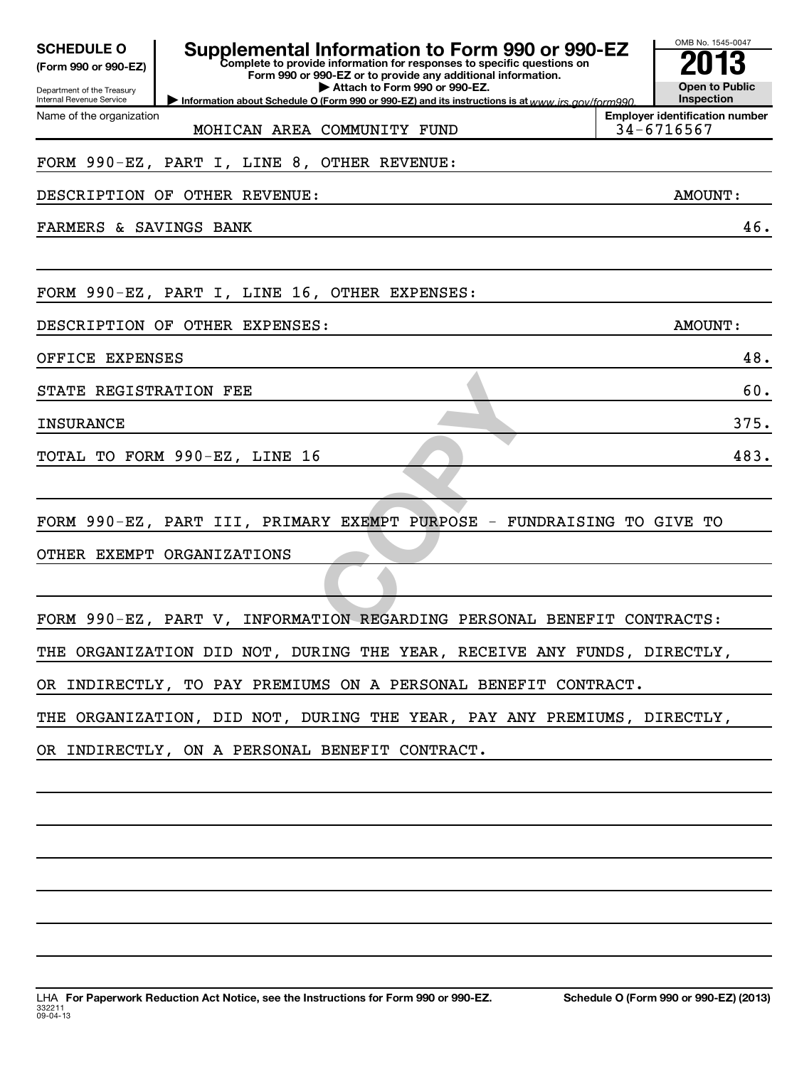| <b>SCHEDULE O</b><br>(Form 990 or 990-EZ)<br>Department of the Treasury<br>Internal Revenue Service | Supplemental Information to Form 990 or 990-EZ<br>Complete to provide information for responses to specific questions on<br>Form 990 or 990-EZ or to provide any additional information.<br>Attach to Form 990 or 990-EZ.<br>Information about Schedule O (Form 990 or 990-EZ) and its instructions is at www.irs gov/form990 |  |                                                                   |  |
|-----------------------------------------------------------------------------------------------------|-------------------------------------------------------------------------------------------------------------------------------------------------------------------------------------------------------------------------------------------------------------------------------------------------------------------------------|--|-------------------------------------------------------------------|--|
| Name of the organization                                                                            | MOHICAN AREA COMMUNITY FUND                                                                                                                                                                                                                                                                                                   |  | Inspection<br><b>Employer identification number</b><br>34-6716567 |  |
|                                                                                                     | FORM 990-EZ, PART I, LINE 8, OTHER REVENUE:                                                                                                                                                                                                                                                                                   |  |                                                                   |  |
|                                                                                                     | DESCRIPTION OF OTHER REVENUE:                                                                                                                                                                                                                                                                                                 |  | AMOUNT:                                                           |  |
| FARMERS & SAVINGS BANK                                                                              |                                                                                                                                                                                                                                                                                                                               |  | 46.                                                               |  |
|                                                                                                     |                                                                                                                                                                                                                                                                                                                               |  |                                                                   |  |
|                                                                                                     | FORM 990-EZ, PART I, LINE 16, OTHER EXPENSES:                                                                                                                                                                                                                                                                                 |  |                                                                   |  |
|                                                                                                     | DESCRIPTION OF OTHER EXPENSES:                                                                                                                                                                                                                                                                                                |  | AMOUNT:                                                           |  |
| OFFICE EXPENSES                                                                                     |                                                                                                                                                                                                                                                                                                                               |  | 48.                                                               |  |
| STATE REGISTRATION FEE                                                                              |                                                                                                                                                                                                                                                                                                                               |  | 60.                                                               |  |
| <b>INSURANCE</b>                                                                                    |                                                                                                                                                                                                                                                                                                                               |  | 375.                                                              |  |
|                                                                                                     | TOTAL TO FORM 990-EZ, LINE 16                                                                                                                                                                                                                                                                                                 |  | 483.                                                              |  |
|                                                                                                     |                                                                                                                                                                                                                                                                                                                               |  |                                                                   |  |
|                                                                                                     | FORM 990-EZ, PART III, PRIMARY EXEMPT PURPOSE - FUNDRAISING TO GIVE TO                                                                                                                                                                                                                                                        |  |                                                                   |  |
|                                                                                                     | OTHER EXEMPT ORGANIZATIONS                                                                                                                                                                                                                                                                                                    |  |                                                                   |  |
|                                                                                                     |                                                                                                                                                                                                                                                                                                                               |  |                                                                   |  |
|                                                                                                     | FORM 990-EZ, PART V, INFORMATION REGARDING PERSONAL BENEFIT CONTRACTS:                                                                                                                                                                                                                                                        |  |                                                                   |  |
|                                                                                                     | THE ORGANIZATION DID NOT, DURING THE YEAR, RECEIVE ANY FUNDS, DIRECTLY,                                                                                                                                                                                                                                                       |  |                                                                   |  |
|                                                                                                     | OR INDIRECTLY, TO PAY PREMIUMS ON A PERSONAL BENEFIT CONTRACT.                                                                                                                                                                                                                                                                |  |                                                                   |  |
|                                                                                                     |                                                                                                                                                                                                                                                                                                                               |  |                                                                   |  |
|                                                                                                     | THE ORGANIZATION, DID NOT, DURING THE YEAR, PAY ANY PREMIUMS, DIRECTLY,                                                                                                                                                                                                                                                       |  |                                                                   |  |
|                                                                                                     | OR INDIRECTLY, ON A PERSONAL BENEFIT CONTRACT.                                                                                                                                                                                                                                                                                |  |                                                                   |  |
|                                                                                                     |                                                                                                                                                                                                                                                                                                                               |  |                                                                   |  |
|                                                                                                     |                                                                                                                                                                                                                                                                                                                               |  |                                                                   |  |
|                                                                                                     |                                                                                                                                                                                                                                                                                                                               |  |                                                                   |  |
|                                                                                                     |                                                                                                                                                                                                                                                                                                                               |  |                                                                   |  |
|                                                                                                     |                                                                                                                                                                                                                                                                                                                               |  |                                                                   |  |